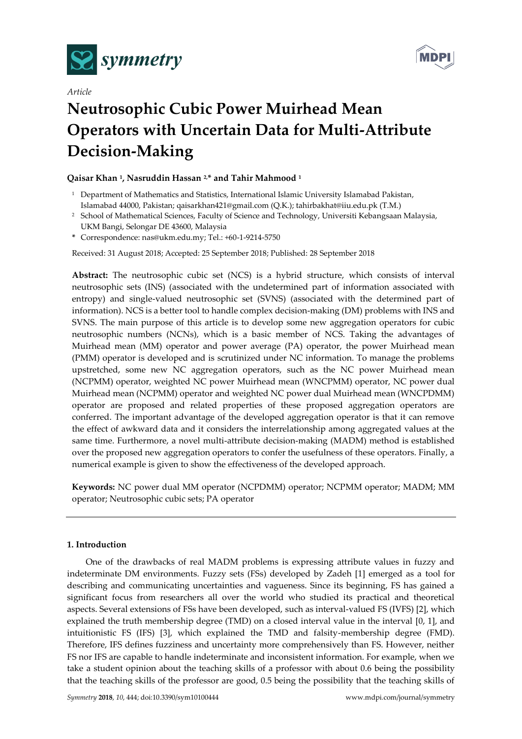

*Article*



# **Neutrosophic Cubic Power Muirhead Mean Operators with Uncertain Data for Multi-Attribute Decision-Making**

# **Qaisar Khan <sup>1</sup> , Nasruddin Hassan 2,\* and Tahir Mahmood <sup>1</sup>**

- <sup>1</sup> Department of Mathematics and Statistics, International Islamic University Islamabad Pakistan, Islamabad 44000, Pakistan; qaisarkhan421@gmail.com (Q.K.); tahirbakhat@iiu.edu.pk (T.M.)
- <sup>2</sup> School of Mathematical Sciences, Faculty of Science and Technology, Universiti Kebangsaan Malaysia, UKM Bangi, Selongar DE 43600, Malaysia
- **\*** Correspondence: nas@ukm.edu.my; Tel.: +60-1-9214-5750

Received: 31 August 2018; Accepted: 25 September 2018; Published: 28 September 2018

**Abstract:** The neutrosophic cubic set (NCS) is a hybrid structure, which consists of interval neutrosophic sets (INS) (associated with the undetermined part of information associated with entropy) and single-valued neutrosophic set (SVNS) (associated with the determined part of information). NCS is a better tool to handle complex decision-making (DM) problems with INS and SVNS. The main purpose of this article is to develop some new aggregation operators for cubic neutrosophic numbers (NCNs), which is a basic member of NCS. Taking the advantages of Muirhead mean (MM) operator and power average (PA) operator, the power Muirhead mean (PMM) operator is developed and is scrutinized under NC information. To manage the problems upstretched, some new NC aggregation operators, such as the NC power Muirhead mean (NCPMM) operator, weighted NC power Muirhead mean (WNCPMM) operator, NC power dual Muirhead mean (NCPMM) operator and weighted NC power dual Muirhead mean (WNCPDMM) operator are proposed and related properties of these proposed aggregation operators are conferred. The important advantage of the developed aggregation operator is that it can remove the effect of awkward data and it considers the interrelationship among aggregated values at the same time. Furthermore, a novel multi-attribute decision-making (MADM) method is established over the proposed new aggregation operators to confer the usefulness of these operators. Finally, a numerical example is given to show the effectiveness of the developed approach.

**Keywords:** NC power dual MM operator (NCPDMM) operator; NCPMM operator; MADM; MM operator; Neutrosophic cubic sets; PA operator

# **1. Introduction**

One of the drawbacks of real MADM problems is expressing attribute values in fuzzy and indeterminate DM environments. Fuzzy sets (FSs) developed by Zadeh [1] emerged as a tool for describing and communicating uncertainties and vagueness. Since its beginning, FS has gained a significant focus from researchers all over the world who studied its practical and theoretical aspects. Several extensions of FSs have been developed, such as interval-valued FS (IVFS) [2], which explained the truth membership degree (TMD) on a closed interval value in the interval [0, 1], and intuitionistic FS (IFS) [3], which explained the TMD and falsity-membership degree (FMD). Therefore, IFS defines fuzziness and uncertainty more comprehensively than FS. However, neither FS nor IFS are capable to handle indeterminate and inconsistent information. For example, when we take a student opinion about the teaching skills of a professor with about 0.6 being the possibility that the teaching skills of the professor are good, 0.5 being the possibility that the teaching skills of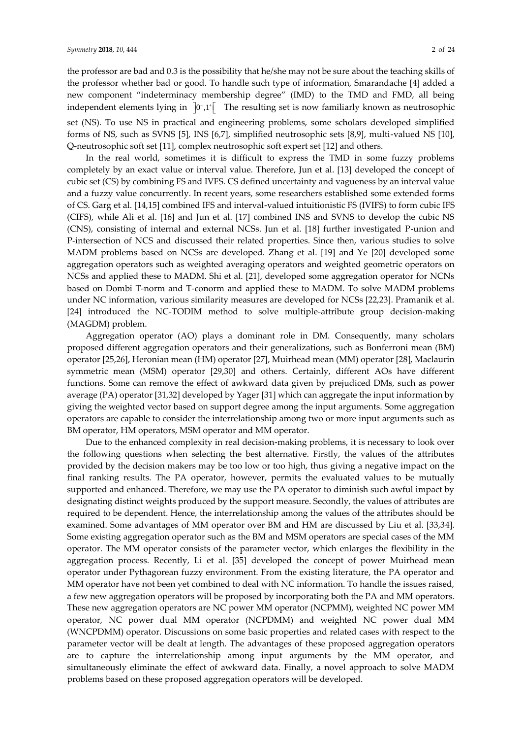the professor are bad and 0.3 is the possibility that he/she may not be sure about the teaching skills of the professor whether bad or good. To handle such type of information, Smarandache [4] added a new component "indeterminacy membership degree" (IMD) to the TMD and FMD, all being independent elements lying in  $\left]0^{\circ},1^{\circ}\right[$  The resulting set is now familiarly known as neutrosophic

set (NS). To use NS in practical and engineering problems, some scholars developed simplified forms of NS, such as SVNS [5], INS [6,7], simplified neutrosophic sets [8,9], multi-valued NS [10], Q-neutrosophic soft set [11], complex neutrosophic soft expert set [12] and others.

In the real world, sometimes it is difficult to express the TMD in some fuzzy problems completely by an exact value or interval value. Therefore, Jun et al. [13] developed the concept of cubic set (CS) by combining FS and IVFS. CS defined uncertainty and vagueness by an interval value and a fuzzy value concurrently. In recent years, some researchers established some extended forms of CS. Garg et al. [14,15] combined IFS and interval-valued intuitionistic FS (IVIFS) to form cubic IFS (CIFS), while Ali et al. [16] and Jun et al. [17] combined INS and SVNS to develop the cubic NS (CNS), consisting of internal and external NCSs. Jun et al. [18] further investigated P-union and P-intersection of NCS and discussed their related properties. Since then, various studies to solve MADM problems based on NCSs are developed. Zhang et al. [19] and Ye [20] developed some aggregation operators such as weighted averaging operators and weighted geometric operators on NCSs and applied these to MADM. Shi et al. [21], developed some aggregation operator for NCNs based on Dombi T-norm and T-conorm and applied these to MADM. To solve MADM problems under NC information, various similarity measures are developed for NCSs [22,23]. Pramanik et al. [24] introduced the NC-TODIM method to solve multiple-attribute group decision-making (MAGDM) problem.

Aggregation operator (AO) plays a dominant role in DM. Consequently, many scholars proposed different aggregation operators and their generalizations, such as Bonferroni mean (BM) operator [25,26], Heronian mean (HM) operator [27], Muirhead mean (MM) operator [28], Maclaurin symmetric mean (MSM) operator [29,30] and others. Certainly, different AOs have different functions. Some can remove the effect of awkward data given by prejudiced DMs, such as power average (PA) operator [31,32] developed by Yager [31] which can aggregate the input information by giving the weighted vector based on support degree among the input arguments. Some aggregation operators are capable to consider the interrelationship among two or more input arguments such as BM operator, HM operators, MSM operator and MM operator.

Due to the enhanced complexity in real decision-making problems, it is necessary to look over the following questions when selecting the best alternative. Firstly, the values of the attributes provided by the decision makers may be too low or too high, thus giving a negative impact on the final ranking results. The PA operator, however, permits the evaluated values to be mutually supported and enhanced. Therefore, we may use the PA operator to diminish such awful impact by designating distinct weights produced by the support measure. Secondly, the values of attributes are required to be dependent. Hence, the interrelationship among the values of the attributes should be examined. Some advantages of MM operator over BM and HM are discussed by Liu et al. [33,34]. Some existing aggregation operator such as the BM and MSM operators are special cases of the MM operator. The MM operator consists of the parameter vector, which enlarges the flexibility in the aggregation process. Recently, Li et al. [35] developed the concept of power Muirhead mean operator under Pythagorean fuzzy environment. From the existing literature, the PA operator and MM operator have not been yet combined to deal with NC information. To handle the issues raised, a few new aggregation operators will be proposed by incorporating both the PA and MM operators. These new aggregation operators are NC power MM operator (NCPMM), weighted NC power MM operator, NC power dual MM operator (NCPDMM) and weighted NC power dual MM (WNCPDMM) operator. Discussions on some basic properties and related cases with respect to the parameter vector will be dealt at length. The advantages of these proposed aggregation operators are to capture the interrelationship among input arguments by the MM operator, and simultaneously eliminate the effect of awkward data. Finally, a novel approach to solve MADM problems based on these proposed aggregation operators will be developed.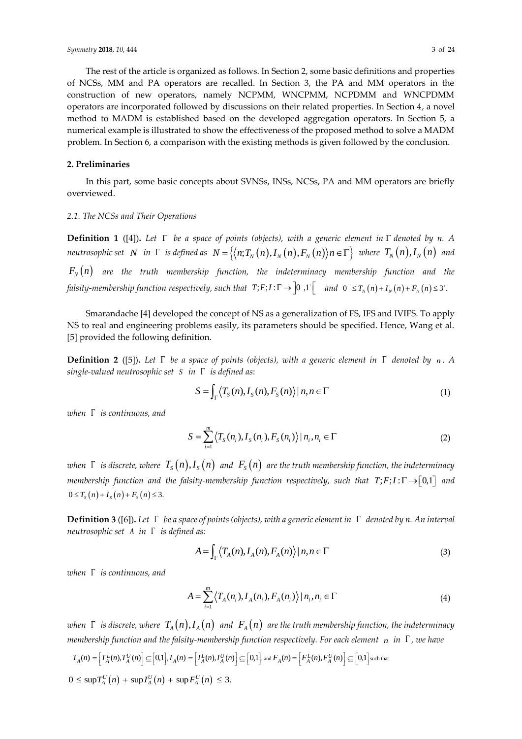of NCSs, MM and PA operators are recalled. In Section 3, the PA and MM operators in the construction of new operators, namely NCPMM, WNCPMM, NCPDMM and WNCPDMM operators are incorporated followed by discussions on their related properties. In Section 4, a novel method to MADM is established based on the developed aggregation operators. In Section 5, a numerical example is illustrated to show the effectiveness of the proposed method to solve a MADM problem. In Section 6, a comparison with the existing methods is given followed by the conclusion.

## **2. Preliminaries**

In this part, some basic concepts about SVNSs, INSs, NCSs, PA and MM operators are briefly overviewed.

## *2.1. The NCSs and Their Operations*

**Definition 1** ([4]). Let  $\Gamma$  be a space of points (objects), with a generic element in  $\Gamma$  denoted by n. A neutrosophic set  $\ N$  in  $\ \Gamma\,$  is defined as  $\ N=\big\{\big\langle n;T_{_N}\big(n\big),I_{_N}\big(n\big),F_{_N}\big(n\big)\big\rangle$ n $\in\Gamma\big\}$  where  $\ T_{_N}\big(n\big),I_{_N}\big(n\big)$  and  $F_{\scriptscriptstyle N}^{}(n)$  are the truth membership function, the indeterminacy membership function and the falsity-membership function respectively, such that  $\ T;F;I:\Gamma\to\left]0^-,1^+\right[$  and  $\ 0^-\leq T_{_N}(n)+I_{_N}(n)+F_{_N}(n)\leq 3^+.$ 

Smarandache [4] developed the concept of NS as a generalization of FS, IFS and IVIFS. To apply NS to real and engineering problems easily, its parameters should be specified. Hence, Wang et al. [5] provided the following definition.

**Definition 2** ([5]). Let  $\Gamma$  be a space of points (objects), with a generic element in  $\Gamma$  denoted by n. A *single-valued neutrosophic set S in is defined as*:

$$
S = \int_{\Gamma} \langle T_s(n), I_s(n), F_s(n) \rangle | n, n \in \Gamma
$$
 (1)

*when is continuous, and*

$$
S = \sum_{i=1}^{m} \langle T_s(n_i), I_s(n_i), F_s(n_i) \rangle | n_i, n_i \in \Gamma
$$
\n(2)

when  $\ \Gamma\;$  is discrete, where  $\ T_{_S}(n)$ ,  $I_{_S}(n)\;$  and  $\ F_{_S}(n)\;$  are the truth membership function, the indeterminacy membership function and the falsity-membership function respectively, such that  $T$  ; $F$  ;  $I$  :  $\Gamma$   $\rightarrow$   $\left[0,$   $\right]$  and  $0 \leq T_{\rm s}(n) + I_{\rm s}(n) + F_{\rm s}(n) \leq 3.$ 

 $\bf{Definition 3}$  ([6]). Let  $\ \Gamma\;$  be a space of points (objects), with a generic element in  $\ \Gamma\;$  denoted by n. An interval *neutrosophic set A in is defined as:*

$$
A = \int_{\Gamma} \langle T_A(n), I_A(n), F_A(n) \rangle \, | \, n, n \in \Gamma \tag{3}
$$

*when is continuous, and*

$$
A = \sum_{i=1}^{m} \left\langle T_A(n_i), I_A(n_i), F_A(n_i) \right\rangle | n_i, n_i \in \Gamma
$$
\n(4)

when  $\ \Gamma\;$  is discrete, where  $\ T_A(n), I_A(n)\;$  and  $\ F_A(n)\;$  are the truth membership function, the indeterminacy *membership function and the falsity-membership function respectively. For each element n in , we have* 

$$
T_A(n) = \left[ T_A^L(n), T_A^U(n) \right] \subseteq \left[ 0,1 \right], I_A(n) = \left[ I_A^L(n), I_A^U(n) \right] \subseteq \left[ 0,1 \right], \text{ and } F_A(n) = \left[ F_A^L(n), F_A^U(n) \right] \subseteq \left[ 0,1 \right], \text{ such that }
$$

 $0 \leq \sup T_A^U(n) + \sup T_A^U(n) + \sup F_A^U(n) \leq 3.$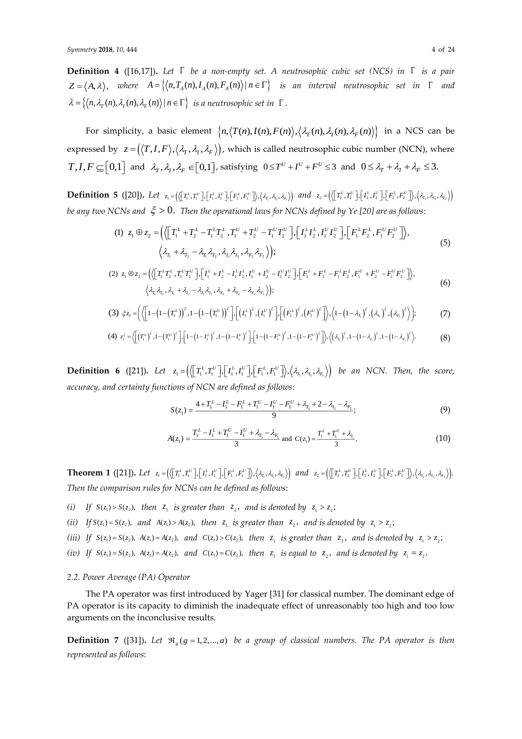**Definition 4** ([16,17]). Let  $\Gamma$  be a non-empty set. A neutrosophic cubic set (NCS) in  $\Gamma$  is a pair  $Z = \langle A, \lambda \rangle$ , where  $A = \{ \langle n, T_A(n), I_A(n), F_A(n) \rangle | n \in \Gamma \}$  is an interval neutrosophic set in  $\Gamma$  and  $\lambda = \left\{ \left\langle n, \lambda_T(n), \lambda_I(n), \lambda_F(n) \right\rangle | n \in \Gamma \right\}$  is a neutrosophic set in  $\Gamma$ .

For simplicity, a basic element  $\left\{n,\left\langle T(n),I(n),F(n)\right\rangle,\left\langle\lambda_T(n),\lambda_I(n),\lambda_F(n)\right\rangle\right\}$  in a NCS can be expressed by  $z = (\langle T, I, F \rangle, \langle \lambda_T, \lambda_I, \lambda_F \rangle)$ , which is called neutrosophic cubic number (NCN), where  $T, I, F \subseteq [0,1]$  and  $\lambda_T, \lambda_I, \lambda_F \in [0,1]$ , satisfying  $0 \le T^U + I^U + F^U \le 3$  and  $0 \le \lambda_T + \lambda_I + \lambda_F \le 3$ .

**Definition 5** ([20]). Let  $z_1 = (\langle [T_1^L, T_1^U], [I_1^L, I_1^U], [F_1^L, F_1^U] \rangle, \langle \lambda_q, \lambda_q, \lambda_{\epsilon_1} \rangle)$  and  $z_2 = (\langle [T_2^L, T_2^U], [I_2^L, I_2^U], [F_2^L, F_2^U] \rangle, \langle \lambda_q, \lambda_q, \lambda_{\epsilon_2} \rangle)$ be any two NCNs and  $\,\,\xi > 0.\,$  Then the operational laws for NCNs defined by Ye [20] are as follows:

(1) 
$$
z_1 \oplus z_2 = \left( \left\langle \left[ T_1^L + T_2^L - T_1^L T_2^L , T_1^U + T_2^U - T_1^U T_2^U \right], \left[ I_1^L I_2^L , I_1^U I_2^U \right], \left[ F_1^L F_2^L , F_1^U F_2^U \right] \right\rangle, \\ \left\langle \lambda_{T_1} + \lambda_{T_2} - \lambda_{T_1} \lambda_{T_2} , \lambda_{I_1} \lambda_{I_2} , \lambda_{F_2} \lambda_{F_2} \right\rangle \right);
$$
\n(2) 
$$
z_1 \otimes z_2 = \left( \left\langle \left[ T_1^L T_2^L , T_1^U T_2^U \right], \left[ I_1^L + I_2^L - I_1^L I_2^L , I_1^U + I_2^U - I_1^U I_2^U \right], \left[ F_1^L + F_2^L - F_1^L F_2^L , F_1^U + F_2^U - F_1^U F_2^U \right] \right\rangle,
$$
\n(6)

(5)  
\n
$$
\left\langle \lambda_{T_1} + \lambda_{T_2} - \lambda_{T_1} \lambda_{T_2}, \lambda_{I_1} \lambda_{I_2}, \lambda_{F_2} \lambda_{F_2} \right\rangle \right\};
$$
\n
$$
(2) \ z_1 \otimes z_2 = \left( \left\langle \left[ T_1^L T_2^L, T_1^U T_2^U \right], \left[ I_1^L + I_2^L - I_1^L I_2^L, I_1^U + I_2^U - I_1^U I_2^U \right], \left[ F_1^L + F_2^L - F_1^L F_2^L, F_1^U + F_2^U - F_1^U F_2^U \right] \right\rangle,
$$
\n
$$
\left\langle \lambda_{T_1} \lambda_{T_2}, \lambda_{I_1} + \lambda_{I_2} - \lambda_{I_1} \lambda_{I_2}, \lambda_{F_2} + \lambda_{F_2} - \lambda_{F_2} \lambda_{F_2} \right\rangle \right);
$$
\n(6)

$$
(3) \ \xi z_{i} = \left( \left\langle \left[ 1 - \left( 1 - \left( T_{i}^{L} \right) \right)^{\xi}, 1 - \left( 1 - \left( T_{i}^{U} \right) \right)^{\xi} \right], \left[ \left( T_{i}^{L} \right)^{\xi}, \left( T_{i}^{U} \right)^{\xi} \right], \left[ \left( F_{i}^{L} \right)^{\xi}, \left( F_{i}^{U} \right)^{\xi} \right] \right\rangle, \left\langle 1 - \left( 1 - \lambda_{T_{i}} \right)^{\xi}, \left( \lambda_{T_{i}} \right)^{\xi}, \left( \lambda_{T_{i}} \right)^{\xi} \right\rangle \right);
$$
\n
$$
(7)
$$

$$
(4) \; z_i^{\varepsilon} = \left\langle \left[ \left( T_i^L \right)^{\varepsilon}, 1 - \left( T_i^U \right)^{\varepsilon} \right], \left[ 1 - \left( 1 - I_i^L \right)^{\varepsilon}, 1 - \left( 1 - I_i^U \right)^{\varepsilon} \right], \left[ 1 - \left( 1 - F_i^L \right)^{\varepsilon}, 1 - \left( 1 - F_i^U \right)^{\varepsilon} \right] \right\rangle, \left\langle \left( \lambda_{\tau_i} \right)^{\varepsilon}, 1 - \left( 1 - \lambda_{\tau_i} \right)^{\varepsilon}, 1 - \left( 1 - \lambda_{\tau_i} \right)^{\varepsilon} \right\rangle. \tag{8}
$$

**Definition 6** ([21]). Let  $z_1 = (\langle [T_1^L, T_1^U], [I_1^L, I_1^U], [F_1^L, F_1^U] \rangle, \langle \lambda_{T_1}, \lambda_{T_1}, \lambda_{T_1} \rangle)$  be an NCN. Then, the score, *accuracy, and certainty functions of NCN are defined as follows*:

$$
S(z_1) = \frac{4 + T_1^L - I_1^L - F_1^L + T_1^U - I_1^U - F_1^U + \lambda_{T_1} + 2 - \lambda_{T_1} - \lambda_{F_1}}{9};
$$
\n(9)

$$
A(z_1) = \frac{T_1^L - I_1^L + T_1^U - I_1^U + \lambda_{T_1} - \lambda_{F_1}}{3} \text{ and } C(z_1) = \frac{T_1^L + T_1^U + \lambda_{T_1}}{3}.
$$
 (10)

**Theorem 1** ([21]). Let  $z_1 = (\langle [T_1^L, T_1^U], [I_1^L, I_1^U], [F_1^L, F_1^U] \rangle, \langle \lambda_{\tau_1}, \lambda_{\tau_1}, \lambda_{\tau_1} \rangle)$  and  $z_2 = (\langle [T_2^L, T_2^U], [I_2^L, I_2^U], [F_2^L, F_2^U] \rangle, \langle \lambda_{\tau_2}, \lambda_{\tau_2}, \lambda_{\tau_2} \rangle)$ . *Then the comparison rules for NCNs can be defined as follows*:

*(i)* If  $S(z_1) > S(z_2)$ , then  $z_1$  is greater than  $z_2$ , and is denoted by  $z_1 > z_2$ ;

(ii) If  $S(z_1) = S(z_2)$ , and  $A(z_1) > A(z_2)$ , then  $z_1$  is greater than  $z_2$ , and is denoted by  $z_1 > z_2$ ;

- (iii) If  $S(z_1) = S(z_2)$ ,  $A(z_1) = A(z_2)$ , and  $C(z_1) > C(z_2)$ , then  $z_1$  is greater than  $z_2$ , and is denoted by  $z_1 > z_2$ ;
- (iv) If  $S(z_1) = S(z_2)$ ,  $A(z_1) = A(z_2)$ , and  $C(z_1) = C(z_2)$ , then  $z_1$  is equal to  $z_2$ , and is denoted by  $z_1 = z_2$ .

#### *2.2. Power Average (PA) Operator*

The PA operator was first introduced by Yager [31] for classical number. The dominant edge of PA operator is its capacity to diminish the inadequate effect of unreasonably too high and too low arguments on the inconclusive results.

**Definition** 7 ([31]). Let  $\Re_{g}$  (g = 1, 2, ..., a) be a group of classical numbers. The PA operator is then *represented as follows*: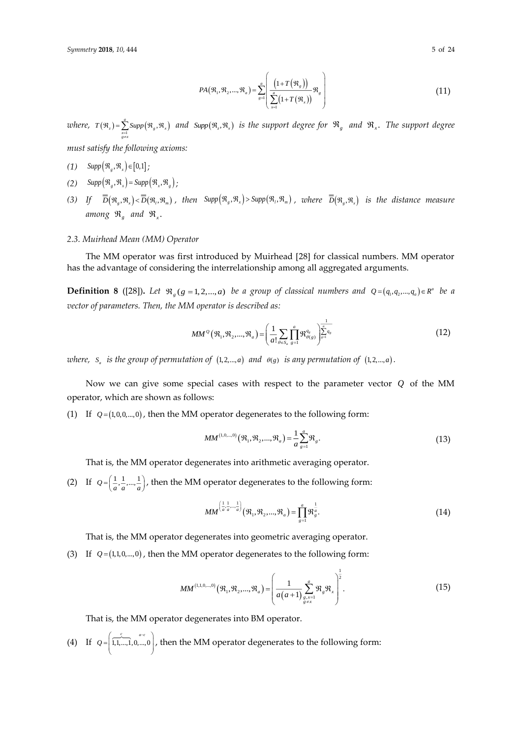$$
PA(\mathfrak{R}_1, \mathfrak{R}_2, ..., \mathfrak{R}_a) = \sum_{s=1}^a \left( \frac{\left(1 + T(\mathfrak{R}_s)\right)}{\sum_{x=1}^a \left(1 + T(\mathfrak{R}_x)\right)} \mathfrak{R}_s \right)
$$
(11)

where,  $T(\mathfrak{R}_z) = \sum_{x=1} \text{Supp}(\mathfrak{R}_s, \mathfrak{R}_x)$ *a*  $T(\mathfrak{R}_z) = \sum_{\substack{x=1 \ y \neq x}} Supp \big(\mathfrak{R}_g, \mathfrak{R}_x\big)$ *g x*  $\mathfrak{R}_z$  =  $\sum$  Supp( $\mathfrak{R}_z$ ,  $\mathfrak{R}_x$ ) and Supp( $\mathfrak{R}_z$ ,  $\mathfrak{R}_x$ ) is the support degree for  $\mathfrak{R}_g$  and  $\mathfrak{R}_x$ . The support degree *must satisfy the following axioms:*

- $(1)$  *Supp* $(\mathfrak{R}_g, \mathfrak{R}_x) \in [0,1]$ ;
- $\text{(2)} \quad \text{Supp}\left(\mathfrak{R}_g, \mathfrak{R}_x\right) = \text{Supp}\left(\mathfrak{R}_x, \mathfrak{R}_g\right);$
- (3) If  $\overline{\overline{D}}(\mathfrak{R}_s, \mathfrak{R}_s) < \overline{\overline{D}}(\mathfrak{R}_t, \mathfrak{R}_m)$ , then  $Supp(\mathfrak{R}_s, \mathfrak{R}_s) > Supp(\mathfrak{R}_t, \mathfrak{R}_m)$ , where  $\overline{\overline{D}}(\mathfrak{R}_s, \mathfrak{R}_s)$  is the distance measure among  $\mathfrak{R}_{_g}$  and  $\mathfrak{R}_{_\mathrm{x}}.$

#### *2.3. Muirhead Mean (MM) Operator*

The MM operator was first introduced by Muirhead [28] for classical numbers. MM operator has the advantage of considering the interrelationship among all aggregated arguments.

**Definition 8** ([28]). Let  $\mathfrak{R}_g(g=1,2,...,a)$  be a group of classical numbers and  $Q=(q_1,q_2,...,q_a)\in R^a$  be a *vector of parameters. Then, the MM operator is described as:*

$$
MM^{\mathcal{Q}}(\mathfrak{R}_1, \mathfrak{R}_2, \dots, \mathfrak{R}_a) = \left(\frac{1}{a!} \sum_{\theta \in S_a} \prod_{g=1}^a \mathfrak{R}_{\theta(g)}^{q_g}\right)^{\frac{1}{g}}_{\stackrel{s}{\stackrel{s}{\sim}}q_g} \tag{12}
$$

where,  $s_a$  is the group of permutation of  $(1,2,...,a)$  and  $\theta(s)$  is any permutation of  $(1,2,...,a)$  *.* 

Now we can give some special cases with respect to the parameter vector  $Q$  of the MM operator, which are shown as follows:

(1) If *Q* <sup>=</sup> (1,0,0,...,0) , then the MM operator degenerates to the following form:

$$
MM^{(1,0,\dots,0)}(\mathfrak{R}_1, \mathfrak{R}_2, \dots, \mathfrak{R}_a) = \frac{1}{a} \sum_{g=1}^a \mathfrak{R}_g.
$$
 (13)

That is, the MM operator degenerates into arithmetic averaging operator.

(2) If  $Q = \left(\frac{1}{a}, \frac{1}{a}, ..., \frac{1}{a}\right)$  $=\left(\frac{1}{a},\frac{1}{a},\dots,\frac{1}{a}\right)$ , then the MM operator degenerates to the following form:

$$
MM^{\left(\frac{1}{a}, \frac{1}{a}, \dots, \frac{1}{a}\right)}(\mathfrak{R}_1, \mathfrak{R}_2, \dots, \mathfrak{R}_a) = \prod_{g=1}^a \mathfrak{R}_g^{\frac{1}{a}}.
$$
 (14)

That is, the MM operator degenerates into geometric averaging operator.

(3) If  $Q = (1, 1, 0, \ldots, 0)$ , then the MM operator degenerates to the following form:

$$
MM^{(1,1,0,\dots,0)}(\mathfrak{R}_1,\mathfrak{R}_2,\dots,\mathfrak{R}_a) = \left(\frac{1}{a(a+1)\sum_{g,x=1}^a \mathfrak{R}_g \mathfrak{R}_x}\right)^{\frac{1}{2}}.
$$
 (15)

That is, the MM operator degenerates into BM operator.

(4) If  $Q = \left(\overbrace{1,1,\ldots,1}^{c} , 0, \ldots, 0\right)$ , then the MM operator degenerates to the following form: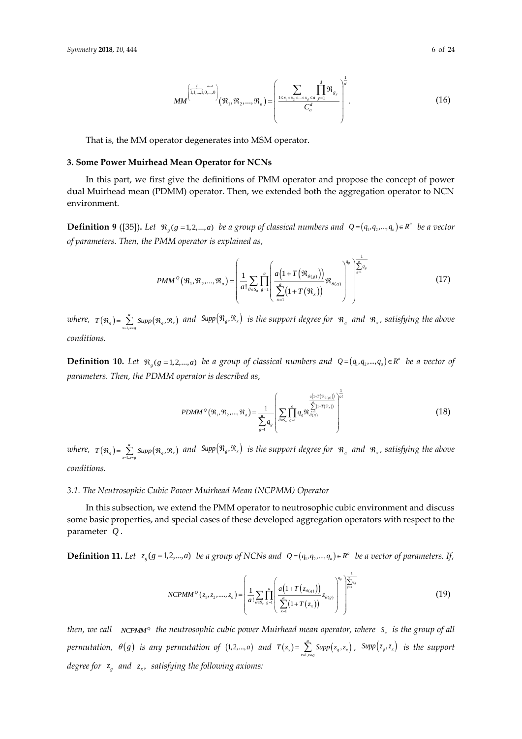$$
MM^{\left(\overbrace{1,1,...,1,0,...,0}^{d},\overbrace{0,0,...,0}^{a-d}\right)}_{\left(\Re_1,\Re_2,...,\Re_a\right)} = \left(\frac{\sum_{1 \le x_1 < x_2 < ... < x_d \le a} \prod_{y=1}^{d} \Re_{g_y}}{C_a^d}\right)^{\frac{1}{d}}.
$$

That is, the MM operator degenerates into MSM operator.

### **3. Some Power Muirhead Mean Operator for NCNs**

In this part, we first give the definitions of PMM operator and propose the concept of power dual Muirhead mean (PDMM) operator. Then, we extended both the aggregation operator to NCN environment.

**Definition 9** ([35]). Let  $\mathcal{R}_g$  (g = 1,2,...,a) be a group of classical numbers and  $Q = (q_1, q_2, ..., q_a) \in R^a$  be a vector *of parameters. Then, the PMM operator is explained as*,

$$
PMM^{Q}(\mathfrak{R}_{1},\mathfrak{R}_{2},...,\mathfrak{R}_{a}) = \left(\frac{1}{a!} \sum_{\theta \in S_{a}} \prod_{g=1}^{a} \left(\frac{a(1+T(\mathfrak{R}_{\theta(g)}))}{\sum_{x=1}^{a} (1+T(\mathfrak{R}_{x}))} \mathfrak{R}_{\theta(g)}\right)^{q_{g}}\right)^{\frac{1}{\sum_{g=1}^{a} q_{g}}} \qquad (17)
$$

where,  $T(\mathfrak{R}_s) = \sum_{x=1, x\neq g} \text{Supp}(\mathfrak{R}_s, \mathfrak{R}_x)$ *a g <i>y*  $\frac{x}{x-1, x\neq g}$  *f f* (  $\frac{g}{g}$   $\frac{x}{x}$  $T(\mathfrak{R}_s) = \sum_{x=1, x \neq s}^{s} \text{Supp}(\mathfrak{R}_s, \mathfrak{R}_x)$  and  $\text{Supp}(\mathfrak{R}_s, \mathfrak{R}_x)$  is the support degree for  $\mathfrak{R}_s$  and  $\mathfrak{R}_x$ , satisfying the above *conditions.*

**Definition 10.** Let  $\mathcal{R}_g$  ( $g = 1, 2, ..., a$ ) be a group of classical numbers and  $Q = (q_1, q_2, ..., q_a) \in R^a$  be a vector of *parameters. Then, the PDMM operator is described as*,

$$
PDMM^{Q}(\mathfrak{R}_{1},\mathfrak{R}_{2},...,\mathfrak{R}_{a}) = \frac{1}{\sum_{g=1}^{a}q_{g}}\left(\sum_{\theta \in S_{a}}\prod_{g=1}^{a}q_{g}\mathfrak{R}_{\theta(g)}^{\frac{d[1+T(\mathfrak{R}_{g})]}{2} \atop \theta(g)}\right)^{\frac{1}{a!}}\tag{18}
$$

where,  $T(\mathfrak{R}_g) = \sum_{x=1, x\neq g} \text{Supp}(\mathfrak{R}_g, \mathfrak{R}_x)$  $T(\mathfrak{R}_s) = \sum_{x=1, x \neq g}^{a} \text{Supp}(\mathfrak{R}_s, \mathfrak{R}_x)$  and  $\text{Supp}(\mathfrak{R}_s, \mathfrak{R}_x)$  is the support degree for  $\mathfrak{R}_s$  and  $\mathfrak{R}_x$ , satisfying the above *conditions.*

## *3.1. The Neutrosophic Cubic Power Muirhead Mean (NCPMM) Operator*

In this subsection, we extend the PMM operator to neutrosophic cubic environment and discuss some basic properties, and special cases of these developed aggregation operators with respect to the parameter *Q* .

**Definition 11.** Let  $z_g$  ( $g = 1, 2, ..., a$ ) be a group of NCNs and  $Q = (q_1, q_2, ..., q_a) \in R^a$  be a vector of parameters. If,

$$
NCPMM^{Q}(z_{1}, z_{2}, \ldots, z_{a}) = \left(\frac{1}{a!} \sum_{\theta \in S_{a}} \prod_{g=1}^{a} \left( \frac{a(1+T(z_{\theta(g)}))}{\sum_{x=1}^{a} (1+T(z_{x}))} z_{\theta(g)} \right)^{q_{g}} \right)^{\frac{1}{2}} \prod_{g=1}^{\frac{1}{2} \sum_{g=1}^{a} q_{g}} \tag{19}
$$

then, we call  $\,$  *NCPMM<sup>o</sup>* the neutrosophic cubic power Muirhead mean operator, where  $\,$  s is the group of all permutation,  $\theta(g)$  is any permutation of  $(1, 2, ..., a)$  and  $T(z_x) = \sum_{x=1, x \neq g} Supp(z_x, z_x)$ *a*  $T(z_x) = \sum_{x=1, x\neq g} \text{Supp}(z_g, z_x)$  $= \sum_{\alpha}^{\alpha}$  Supp $(z_{s}, z_{x})$ , Supp $(z_{s}, z_{x})$  is the support *degree for g z and*  , *x z satisfying the following axioms:*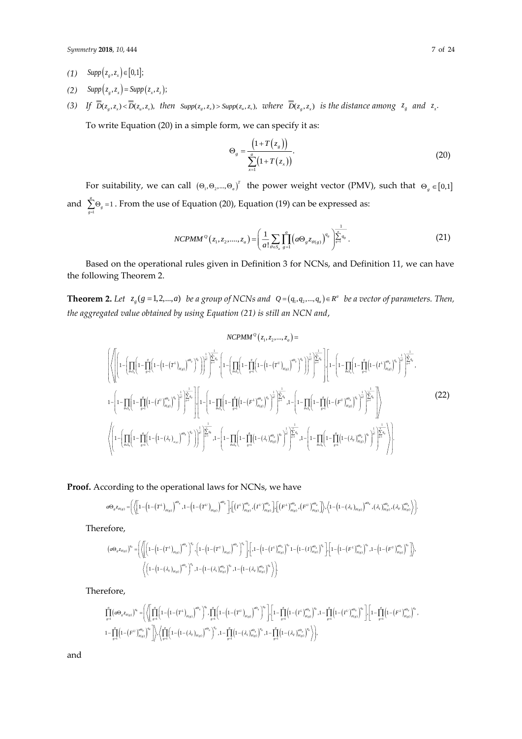- $(1)$  *Supp*  $(z_g, z_x) \in [0,1]$ ;
- $\text{(2)} \quad \text{Supp}\left(z_{s}, z_{x}\right) = \text{Supp}\left(z_{x}, z_{z}\right);$
- (3) If  $\overline{D}(z_g, z_x) < \overline{D}(z_u, z_v)$ , then  $Supp(z_g, z_x) > Supp(z_u, z_v)$ , where  $\overline{D}(z_g, z_x)$  is the distance among  $z_g$  and  $z_x$ . To write Equation (20) in a simple form, we can specify it as:

$$
\Theta_{g} = \frac{\left(1 + T\left(z_{g}\right)\right)}{\sum_{x=1}^{a} \left(1 + T\left(z_{x}\right)\right)}.\tag{20}
$$

For suitability, we can call  $(\Theta_1, \Theta_2, ..., \Theta_a)^T$  the power weight vector (PMV), such that  $\Theta_g \in [0,1]$ and  $\sum_{g=1}^{a} \Theta_{g} = 1$  $\sum \Theta_{g}$  = 1. From the use of Equation (20), Equation (19) can be expressed as: *g*<sup>=</sup>

$$
NCPMM^{Q}(z_{1}, z_{2},..., z_{a}) = \left(\frac{1}{a!} \sum_{\theta \in S_{a}} \prod_{g=1}^{a} \left(a\Theta_{g} z_{\theta(g)}\right)^{q_{g}}\right)^{\frac{1}{\sum_{g=1}^{a} q_{g}}}.
$$
\n(21)

Based on the operational rules given in Definition 3 for NCNs, and Definition 11, we can have the following Theorem 2.

**Theorem 2.** Let  $z_g(g=1,2,...,a)$  be a group of NCNs and  $Q=(q_1,q_2,...,q_a) \in R^a$  be a vector of parameters. Then, *the aggregated value obtained by using Equation (21) is still an NCN and*,

$$
NCPMM^{Q}(z_{1}, z_{2},..., z_{a}) = \left\{\left\{\left[\left(1-\left(\prod_{\alpha\leq x}\left(1-\prod_{\beta\leq x}(1-\left(1-(T^{\mu})_{\theta_{(\beta)}})^{\alpha_{\beta}}\right)^{a_{\beta}}\right)\right)^{\frac{1}{\alpha_{\beta}}}\right]_{\alpha}^{\frac{1}{\alpha_{\beta_{\alpha}}}}\right]_{\alpha}^{1-\frac{1}{\alpha_{\beta_{\alpha}}}}\left[1-\left(\prod_{\alpha\leq x}(1-\prod_{\beta\leq x}(1-(1-(T^{\mu})_{\theta_{(\beta)}})^{\alpha_{\beta}}\right)^{a_{\beta}})\right]\right\}^{\frac{1}{\alpha_{\beta}}}\right\}^{1-\frac{1}{\alpha_{\beta_{\alpha}}}}\left[1-\left(1-(T^{\mu})_{\theta_{(\beta)}}\right)^{\alpha_{\beta_{\beta}}}}\right]_{\beta}^{1-\frac{1}{\alpha_{\beta_{\alpha}}}}\left[1-\left(1-(T^{\mu})_{\theta_{(\beta)}}\right)^{\alpha_{\beta_{\beta}}}}\right]\right]_{\beta}^{1-\frac{1}{\alpha_{\beta_{\alpha}}}}\left[1-\left(1-\prod_{\alpha\leq x}(1-\prod_{\beta\leq x}(1-\prod_{\beta\leq x}(1-(T^{\mu})_{\theta_{(\beta)}}^{\alpha_{\beta_{\beta}}})^{a_{\beta}}\right)\right]^{1-\frac{1}{\alpha_{\beta_{\alpha}}}}\right]
$$
\n
$$
1-\left(1-\prod_{\alpha\leq x}\left(1-\prod_{\beta\leq x}(1-(T^{\mu})_{\theta_{(\beta)}}^{\alpha_{\beta_{\beta}}})^{a_{\beta}}\right)^{\frac{1}{\alpha_{\beta}}}\right)^{\frac{1}{\alpha_{\beta_{\alpha}}}}\left[1-\left(1-\prod_{\alpha\leq x}(1-\prod_{\beta\leq x}(1-(T^{\mu})_{\theta_{(\beta)}}^{\alpha_{\beta_{\beta}}})^{a_{\beta}}\right)^{\frac{1}{\alpha_{\beta}}}\right]_{\beta}^{1-\frac{1}{\alpha_{\beta_{\alpha}}}}\left[1-\left(1-\prod_{\alpha\leq x}(1-\prod_{\beta\leq x}(1-(T^{\mu})_{\theta_{(\beta)}}^{\alpha_{\beta_{\beta}}})^{a_{\beta}}\right)^{\frac{1}{\alpha_{\beta}}}\right]_{\beta}^{1-\frac{1}{\alpha_{\beta_{\
$$

**Proof.** According to the operational laws for NCNs, we have

$$
a\Theta_{g}z_{\theta(g)}=\left(\left\langle \left[1-\left(1-\left(T^{L}\right)_{\theta(g)}\right)^{\alpha\theta_{g}},1-\left(1-\left(T^{U}\right)_{\theta(g)}\right)^{\alpha\theta_{g}}\right],\left[\left(I^{L}\right)_{\theta(g)}^{\alpha\theta_{g}},\left(I^{U}\right)_{\theta(g)}^{\alpha\theta_{g}}\right],\left[\left(F^{L}\right)_{\theta(g)}^{\alpha\theta_{g}},\left(F^{U}\right)_{\theta(g)}^{\alpha\theta_{g}}\right],\left\langle 1-\left(1-\left(\lambda_{T}\right)_{\theta(g)}\right)^{\alpha\theta_{g}},\left(\lambda_{T}\right)_{\theta(g)}^{\alpha\theta_{g}},\left(\lambda_{T}\right)_{\theta(g)}^{\alpha\theta_{g}}\right\rangle \right).
$$

Therefore,

$$
\label{eq:2} \begin{split} \left(a\Theta_{\varepsilon}z_{\vartheta(\varepsilon)}\right)^{q_{\varepsilon}}=&\Bigg(\Bigg[\Bigg[\Big(1-\Big(1-\Big(T^{\perp}\Big)_{\vartheta(\varepsilon)}\Big)^{\vartheta\theta_{\varepsilon}}\Big)^{q_{\varepsilon}}, \Bigg[1-\Big(1-\Big(T^{\vee}\Big)_{\vartheta(\varepsilon)}\Big)^{\vartheta\theta_{\varepsilon}}\Bigg)^{q_{\varepsilon}}\Bigg].\\ &\qquad\qquad\qquad \Bigg|\cdot\Bigg[\cdot\Big(1-\Big(1-\Big(T^{\perp}\Big)_{\vartheta(\varepsilon)}\Big)^{\vartheta\theta_{\varepsilon}}\Big)^{q_{\varepsilon}}, 1-\Big(1-\Big(T^{\perp}\Big)_{\vartheta(\varepsilon)}\Big)^{q_{\varepsilon}}\Bigg].\\ &\qquad\qquad \qquad \Bigg|\cdot\Bigg[\cdot\Big(1-\Big(1-\Big(\mathcal{Z}_{T}\Big)_{\vartheta(\varepsilon)}\Big)^{\vartheta\theta_{\varepsilon}}\Big)^{q_{\varepsilon}}, 1-\Big(1-\Big(\mathcal{Z}_{T}\Big)_{\vartheta(\varepsilon)}^{\vartheta\theta_{\varepsilon}}\Big)^{q_{\varepsilon}}, 1-\Big(1-\Big(T^{\perp}\Big)_{\vartheta(\varepsilon)}^{\vartheta\theta_{\varepsilon}}\Big)^{q_{\varepsilon}}\Bigg]. \end{split}
$$

Therefore,

$$
\begin{split}\n\mathbf{efore}, \\
\prod_{s=1}^{n} \left( a \Theta_{s} z_{\theta(s)} \right)^{q_{s}} &= \left\langle \left\langle \left[ \prod_{s=1}^{a} \left( 1 - \left( 1 - \left( T^{L} \right)_{\theta(s)} \right)^{\alpha \alpha_{s}} \right)^{q_{s}} \cdot \prod_{s=1}^{a} \left( 1 - \left( 1 - \left( T^{U} \right)_{\theta(s)} \right)^{\alpha \alpha_{s}} \right)^{q_{s}} \right] \cdot \left[ 1 - \prod_{s=1}^{a} \left( 1 - \left( I^{L} \right)^{\alpha \alpha_{s}}_{\theta(s)} \right)^{q_{s}}, 1 - \prod_{s=1}^{a} \left( 1 - \left( I^{U} \right)^{\alpha \alpha_{s}}_{\theta(s)} \right)^{q_{s}}, 1 - \prod_{s=1}^{a} \left( 1 - \left( I^{U} \right)^{\alpha \alpha_{s}}_{\theta(s)} \right)^{q_{s}}, 1 - \prod_{s=1}^{a} \left( 1 - \left( I^{U} \right)^{\alpha \alpha_{s}}_{\theta(s)} \right)^{q_{s}}, 1 - \prod_{s=1}^{a} \left( 1 - \left( I^{U} \right)^{\alpha \alpha_{s}}_{\theta(s)} \right)^{q_{s}}, 1 - \prod_{s=1}^{a} \left( 1 - \left( I^{U} \right)^{\alpha \alpha_{s}}_{\theta(s)} \right)^{q_{s}}, 1 - \prod_{s=1}^{a} \left( 1 - \left( I^{U} \right)^{\alpha \alpha_{s}}_{\theta(s)} \right)^{q_{s}}, 1 - \prod_{s=1}^{a} \left( I^{U} \right)^{\alpha \alpha_{s}}_{\theta(s)} \cdot \left( \sum_{s=1}^{a} \left( I^{U} \right)^{\alpha \alpha_{s}}_{\theta(s)} \right)^{q_{s}}, 1 - \prod_{s=1}^{a} \left( I^{U} \right)^{\alpha \alpha_{s}}_{\theta(s)} \cdot \left( \sum_{s=1}^{a} \left( I^{U} \right)^{\alpha \alpha_{s}}_{\theta(s)} \right)^{q_{s}}, 1 - \prod_{s=1}^{a} \left( I^{U} \right)^{\alpha \alpha_{s}}_{\theta(s)} \cdot \left( \sum_{s=1}^{a} \left( I^{U} \right)^{\alpha \alpha_{s}}_{\theta(s)} \right)^
$$

and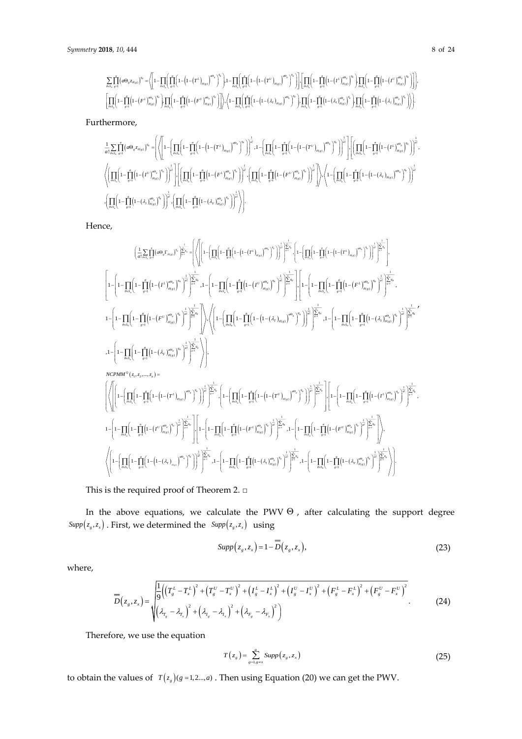Furthermore,

$$
\begin{split} &\frac{1}{a!}\sum_{\theta\in S_{a}}\prod_{s=1}^{a}\big(a\Theta_{s}z_{\theta(s)}\big)^{q_{s}}=\left[\left\langle\left[1-\left(\prod_{\theta\in S_{c}}\bigg(1-\prod_{s=1}^{a}\bigg(1-\bigg(1-\bigg(1-\bigg(T^{L}\big)_{\theta(s)}\bigg)^{q_{s}}\bigg)^{q_{s}}\bigg)\right)^{\frac{1}{a!}},1-\left(\prod_{\theta\in S_{c}}\bigg(1-\prod_{s=1}^{a}\bigg(1-\bigg(1-\bigg(T^{U}\big)_{\theta(s)}\bigg)^{q_{s}}\bigg)^{q_{s}}\right)\right)^{\frac{1}{a!}}\right]\cdot\left[\left(\prod_{\theta\in S_{c}}\bigg(1-\prod_{s=1}^{a}\bigg(1-\bigg(T^{L}\big)_{\theta(s)}^{q_{s}}\bigg)^{q_{s}}\right)\right)^{\frac{1}{a!}}\cdot\left(\prod_{\theta\in S_{c}}\bigg(1-\prod_{s=1}^{a}\bigg(1-\bigg(T^{U}\big)_{\theta(s)}^{q_{s}}\bigg)^{q_{s}}\right)\right)^{\frac{1}{a!}}\cdot\left[\left(\prod_{\theta\in S_{c}}\bigg(1-\prod_{s=1}^{a}\bigg(1-\bigg(T^{L}\big)_{\theta(s)}^{q_{s}}\bigg)^{q_{s}}\right)\right)^{\frac{1}{a!}}\cdot\left(\prod_{\theta\in S_{c}}\bigg(1-\prod_{s=1}^{a}\bigg(1-\bigg(T^{U}\big)_{\theta(s)}^{q_{s}}\bigg)^{q_{s}}\right)\right)^{\frac{1}{a!}}\cdot\left(\prod_{\theta\in S_{c}}\bigg(1-\prod_{s=1}^{a}\bigg(1-\bigg(T^{U}\big)_{\theta(s)}^{q_{s}}\bigg)^{q_{s}}\right)\right)^{\frac{1}{a!}}\cdot\left(\prod_{\theta\in S_{c}}\bigg(1-\prod_{s=1}^{a}\bigg(1-\bigg(T^{L}\big)_{\theta(s)}^{q_{s}}\bigg)^{q_{s}}\right)\bigg)^{\frac{1}{a!}}\cdot\left(\prod_{\theta\in S_{c}}\bigg(1-\prod_{s=1}^{a}\bigg(1-\bigg(T^{L}\big)_{\theta(s)}^{q_{s}}\bigg)^{q_{s}}\right)\right)^
$$

Hence,

$$
\begin{split} &\left(\frac{1}{a!}\sum_{k=1}^{n}\prod_{i}^{n}(a\Theta_{s}\Gamma_{\alpha_{i}j})^{s_{i}}\right)^{\frac{1}{2}}\sum_{i}^{n}e_{i}=\left[\left\langle\left[\left(1-\prod_{k=1}^{n}\left(1-\left(1-(T^{k})_{\alpha_{i}j}\right)^{\alpha_{i}}\right)^{s_{i}}\right)\right]^{2}\right]^{2}\sum_{k=1}^{n}\left\langle\left(1-\prod_{k=1}^{n}\left(1-\left(1-(T^{k})_{\alpha_{i}j}\right)^{\alpha_{i}}\right)^{s_{i}}\right)^{\frac{1}{2}}\right)^{\frac{1}{2}}\sum_{i}^{n}\left(\frac{1}{a_{i}}\left(1-\prod_{k=1}^{n}\left(1-(T^{k})_{\alpha_{i}j}\right)^{s_{i}}\right)^{\frac{1}{2}}\right)^{\frac{1}{2}}\sum_{i}^{n}\left(\frac{1}{a_{i}}\prod_{i}^{n}\left(1-(T^{k})_{\alpha_{i}j}\right)^{s_{i}}\right)^{\frac{1}{2}}\right)^{\frac{1}{2}}\sum_{i}^{n}\left(\frac{1}{a_{i}}\prod_{i}^{n}\left(1-(T^{k})_{\alpha_{i}j}\right)^{s_{i}}\right)^{\frac{1}{2}}\right)^{\frac{1}{2}}\sum_{i}^{n}\left(\frac{1}{a_{i}}\prod_{i}^{n}\left(1-(T^{k})_{\alpha_{i}j}\right)^{s_{i}}\right)^{\frac{1}{2}}\right)^{\frac{1}{2}}\sum_{i}^{n}\left(\frac{1}{a_{i}}\prod_{k=1}^{n}\left(1-(T^{k})_{\alpha_{i}j}\right)^{s_{i}}\right)^{\frac{1}{2}}\right)^{\frac{1}{2}}\sum_{i}^{n}\left(\frac{1}{a_{i}}\prod_{k=1}^{n}\left(1-(T^{k})_{\alpha_{i}j}\right)^{s_{i}}\right)^{\frac{1}{2}}\right)^{\frac{1}{2}}\sum_{i}^{n}\left(\frac{1}{a_{i}}\prod_{k=1}^{n}\left(1-(T^{k})_{\alpha_{i}j}\right)^{s_{i}}\right)^{\frac{1}{2}}\right)^{\frac{1}{2}}\sum_{i}^{n}\left(\frac{1}{a_{i}}\prod_{k=1}^{n}\left(1-(T^{k})_{\alpha_{
$$

This is the required proof of Theorem 2.  $\Box$ 

In the above equations, we calculate the PWV  $\Theta$  , after calculating the support degree  $Supp\left(z_{s},z_{x}\right)$  . First, we determined the  $Supp\left(z_{s},z_{x}\right)$  using

$$
Supp(z_s, z_x) = 1 - \overline{D}(z_s, z_x),
$$
\n(23)

where,

$$
\overline{D}(z_s, z_x) = \sqrt{\frac{1}{9} \left( \left( T_s^L - T_x^L \right)^2 + \left( T_s^U - T_x^U \right)^2 + \left( I_s^L - I_x^L \right)^2 + \left( I_s^U - I_x^U \right)^2 + \left( F_s^L - F_x^L \right)^2 + \left( F_s^U - F_x^U \right)^2 \right)}{ \left( \lambda_{T_s} - \lambda_{T_s} \right)^2 + \left( \lambda_{T_s} - \lambda_{T_s} \right)^2 + \left( \lambda_{T_s} - \lambda_{T_s} \right)^2}.
$$
\n(24)

Therefore, we use the equation

$$
T(z_s) = \sum_{s=1, s \neq x}^{a} \text{Supp}(z_s, z_x) \tag{25}
$$

to obtain the values of  $T(z_g)(g=1,2...,a)$  . Then using Equation (20) we can get the PWV.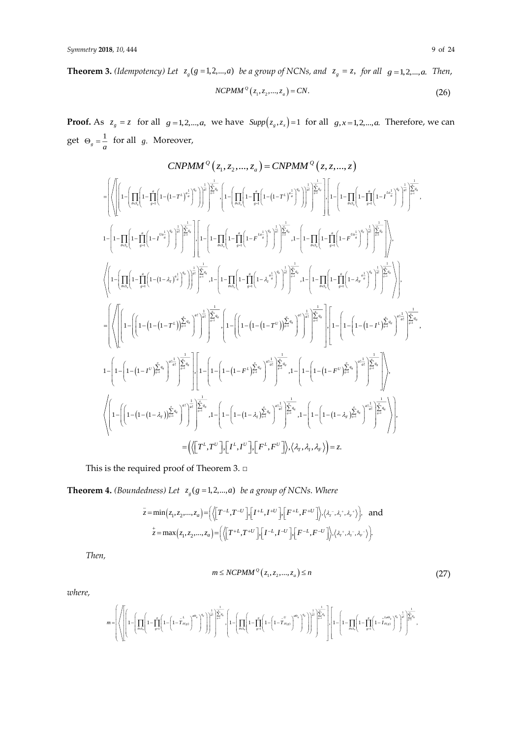**Theorem 3.** (Idempotency) Let  $z_g$  ( $g = 1, 2, ..., a$ ) be a group of NCNs, and  $z_g = z$ , for all  $g = 1, 2, ..., a$ . Then,  $NCPMM^{Q}(z_{1}, z_{2},..., z_{a}) = CN.$ (26)

**Proof.** As  $z_g = z$  for all  $g = 1, 2, ..., a$ , we have  $Supp(z_g, z_x) = 1$  for all  $g, x = 1, 2, ..., a$ . Therefore, we can get  $\Theta_e = \frac{1}{2}$  $\Theta_g = \frac{1}{a}$  for all g. Moreover,

$$
\begin{split} &\text{CPMM}^{\mathcal{Q}}\left(z_{1},z_{2},...,z_{a}\right)=&\text{CPMM}^{\mathcal{Q}}\left(z_{1},z_{2},...,z_{a}\right)\\ =&\left(\left|\left[1-\left(\prod_{\text{obs},\text{c}}\left[1-\prod_{\text{c}}^{\text{r}}\left[1-(1-T^{\text{r}})^{\frac{\text{r}}{\text{s}}}\right)^{\text{m}}\right]\right]^{\frac{1}{m}}\right|^{\frac{1}{2m}}\right|_{\text{c}}^{\frac{1}{m}}\cdot\left[1-\left(\prod_{\text{obs},\text{c}}\left[1-\prod_{\text{c}}^{\text{r}}\left[1-(1-T^{\text{r}})^{\frac{\text{r}}{\text{s}}}\right)^{\text{m}}\right]\right]^{\frac{1}{m}}\right]^{\frac{1}{m}}\cdot\left[1-\left(\prod_{\text{obs},\text{c}}\left[1-\prod_{\text{c}}^{\text{r}}\left[1-(1-T^{\text{r}})^{\frac{\text{r}}{\text{s}}}\right]^{\text{m}}\right)\right]^{\frac{1}{m}}\right]^{\frac{1}{m}}\cdot\\ &1-\left[1-\prod_{\text{obs},\text{c}}\left[1-\prod_{\text{c}}^{\text{r}}\left[1-\int_{\text{c}}^{\text{r}}\left[1-(1-T^{\text{r}})^{\frac{\text{r}}{\text{s}}}\right)^{\text{m}}\right]^{\frac{1}{m}}\right]^{\frac{1}{m}}\cdot\left[1-\left[1-\prod_{\text{obs},\text{c}}\left[1-\prod_{\text{c}}^{\text{r}}\left[1-\int_{\text{c}}^{\text{r}}\left[1-(1-T^{\text{r}})^{\frac{\text{r}}{\text{s}}}\right)^{\text{m}}\right]^{\frac{1}{m}}\right]^{\frac{1}{m}}\cdot\left[1-\left[1-\prod_{\text{obs},\text{c}}\left[1-\prod_{\text{c}}^{\text{r}}\left[1-\int_{\text{c}}^{\text{r}}\left[1-\int_{\text{c}}^{\text{r}}\left[1-\int_{\text{c}}^{\text{r}}\left[1-\int_{\text{c}}^{\text{r}}\left[1-\int_{\text{c}}^{\text{r}}\left[1-\int_{\text{c}}^{\text{r}}\left[1-\int_{\text{c}}^{\text{r
$$

This is the required proof of Theorem 3. □

**Theorem 4.** (*Boundedness*) Let 
$$
z_g(g = 1, 2, ..., a)
$$
 be a group of NCNs. Where  
\n
$$
\bar{z} = \min(z_1, z_2, ..., z_a) = \left( \left\langle \left[T^{-L}, T^{-U}\right] \right\rangle \left[I^{+L}, I^{+U}\right] \right\rangle \left\{F^{+L}, F^{+U}\right\} \right\rangle \cdot \left\langle \lambda_i^-, \lambda_i^+, \lambda_i^+ \right\rangle \right), \text{ and}
$$
\n
$$
\bar{z} = \max(z_1, z_2, ..., z_a) = \left( \left\langle \left[T^{+L}, T^{+U}\right] \right\rangle \left\{I^{-L}, I^{-U}\right\} \right\rangle \left\{F^{-L}, F^{-U}\right\} \right\rangle \cdot \left\langle \lambda_i^+, \lambda_i^-, \lambda_i^-\right\rangle \right).
$$

*Then,*

$$
m \le NCPMM^Q(z_1, z_2, ..., z_a) \le n
$$
\n<sup>(27)</sup>

*where,*

$$
m = \left(\left(\left[1-\left(\prod_{\theta \in S_{\epsilon}}\left[1-\prod_{s=1}^{a}\left(1-\left(1-\bar{T}_{\theta(s)}^{\ell}\right)^{a\theta_{s}}\right)^{q_{s}}\right)^{a}\right]\right)^{\frac{1}{a^{2}}}\right)^{\frac{1}{\sum\limits_{s=1}^{a}}q_{s}}\right)\left(1-\left(\prod_{\theta \in S_{\epsilon}}\left(1-\prod_{s=1}^{a}\left(1-\left(1-\bar{T}_{\theta(s)}^{\ell}\right)^{a\theta_{s}}\right)^{q_{s}}\right)\right)^{\frac{1}{a^{2}}}\right)^{\sum\limits_{s=1}^{a}\left(\frac{1}{\theta_{s}}\right)}\right)^{\frac{1}{a^{2}}}\cdot\left[\prod_{s=1}^{a}\left(1-\prod_{\theta \in S_{\epsilon}}\left(1-\frac{1}{\theta_{s}}\theta_{s}\right)^{q_{s}}\right)^{\frac{1}{a^{2}}}\right]^{\frac{1}{\sum\limits_{s=1}^{a}\left(\frac{1}{\theta_{s}}\right)}\cdot\left[\prod_{s=1}^{a}\left(1-\frac{1}{\theta_{s}}\theta_{s}\right)^{q_{s}}\right]^{\frac{1}{a^{2}}}\right]^{\frac{1}{\sum\limits_{s=1}^{a}\left(\frac{1}{\theta_{s}}\theta_{s}\right)}\cdot\left[\prod_{s=1}^{a}\left(1-\frac{1}{\theta_{s}}\theta_{s}\right)^{q_{s}}\right]^{\frac{1}{a^{2}}}\cdot\left[\prod_{s=1}^{a}\left(1-\frac{1}{\theta_{s}}\theta_{s}\right)^{q_{s}}\right]^{\frac{1}{a^{2}}}\cdot\left[\prod_{s=1}^{a}\left(1-\frac{1}{\theta_{s}}\theta_{s}\right)^{q_{s}}\right]^{\frac{1}{a^{2}}}\cdot\left[\prod_{s=1}^{a}\left(1-\frac{1}{\theta_{s}}\theta_{s}\right)^{q_{s}}\right]^{\frac{1}{a^{2}}}\cdot\left[\prod_{s=1}^{a}\left(1-\frac{1}{\theta_{s}}\theta_{s}\right)^{q_{s}}\right]^{\frac{1}{a^{2}}}\cdot\left[\prod_{s=1}^{a}\left(1-\frac{1}{\theta_{s}}\theta_{s}\right)^{q_{s}}\right]^{\frac{1}{a^{2}}}\cdot\left[\prod_{s=1}^{a}\left(1-\frac{1
$$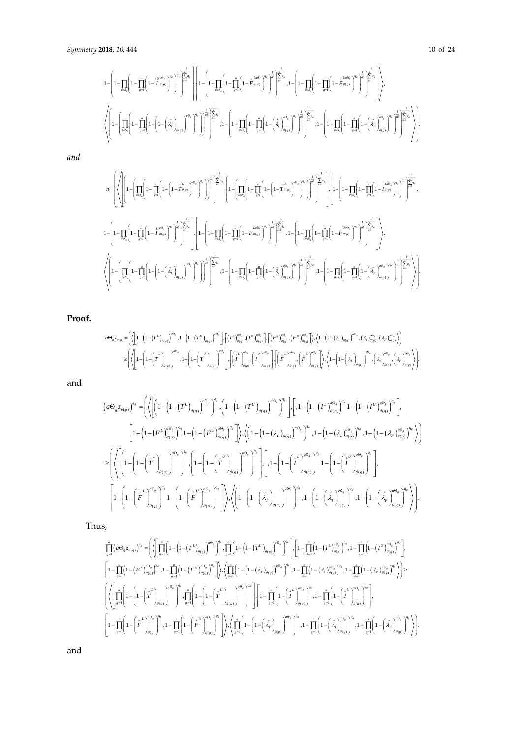$$
1-\left(1-\prod_{\theta\in S_c}\left(1-\prod_{g=1}^a\left(1-\tilde{\tilde{I}}_{\theta(g)}\right)^{q_g}\right)^{\frac{1}{a!}}\right)^{\frac{1}{\tilde{b}^{-q_g}}}\cdot\left[1-\left(1-\prod_{\theta\in S_c}\left(1-\prod_{g=1}^a\left(1-\tilde{\tilde{I}}_{\theta(g)}\right)^{q_g}\right)^{\frac{1}{a!}}\right)^{\frac{1}{\tilde{b}^{-q_g}}}\cdot\left[1-\left(1-\prod_{\theta\in S_c}\left(1-\prod_{g=1}^a\left(1-\tilde{\tilde{I}}_{\theta(g)}\right)^{q_g}\right)^{\frac{1}{a!}}\right)^{\frac{1}{\tilde{b}^{-q_g}}}\cdot\left[1-\left(1-\prod_{\theta\in S_c}\left(1-\prod_{g=1}^a\left(1-\tilde{\tilde{I}}_{\theta(g)}\right)^{q_g}\right)^{\frac{1}{a!}}\right)^{\frac{1}{\tilde{b}^{-q_g}}}\cdot\left[1-\prod_{\theta\in S_c}\left(1-\prod_{g=1}^a\left(1-\tilde{\tilde{I}}_{\theta(g)}\right)^{q_g}\right)^{\frac{1}{a!}}\cdot\left|\prod_{g=1}^{\tilde{b}-q_g}\left(1-\left(\tilde{\tilde{I}}_{\theta(g)}\right)^{q_g}\right)^{\frac{1}{a!}}\right|^{\frac{1}{\tilde{b}^{-q_g}}}\cdot\left[1-\prod_{\theta\in S_c}\left(1-\prod_{g=1}^a\left(1-\left(\tilde{\tilde{I}}_{\theta(g)}\right)^{q_g}\right)^{\frac{1}{a!}}\right)^{\frac{1}{\tilde{b}^{-q_g}}}\cdot\left[1-\prod_{\theta\in S_c}\left(1-\prod_{g=1}^a\left(1-\left(\tilde{\tilde{I}}_{\theta(g)}\right)^{q_g}\right)^{\frac{1}{a!}}\right)^{\frac{1}{\tilde{b}^{-q_g}}}\cdot\left[1-\prod_{\theta\in S_c}\left(1-\prod_{g=1}^a\left(1-\left(\tilde{\tilde{I}}_{\theta(g)}\right)^{q_g}\right)^{\frac{1}{a!}}\right)^{\frac{1}{\tilde{b}^{-q_g}}}\cdot\left[1-\prod_{\theta\in S_c}\left(1-\prod_{g=1}^a\left(1-\left(\tilde
$$

*and*

$$
n=\left[\left\langle \left[\left(1-\left(\prod_{\theta\in S_{\epsilon}}\left[1-\prod_{g=1}^{a}\left(1-\left(1-\overset{\tau^{L}}{I}_{\theta(g)}\right)^{q_{\theta}}\right)^{q_{\theta}}\right)^{q_{\theta}}\right)^{1}\right]^{1}\right]^{1-\frac{1}{2\alpha_{\theta_{\epsilon}}}}\right]^{1-\frac{1}{\alpha_{\theta_{\epsilon}}}}\cdot\left[1-\left(\prod_{\theta\in S_{\epsilon}}\left(1-\prod_{g=1}^{a}\left(1-\left(1-\overset{\tau^{U}}{I}_{\theta(g)}\right)^{\theta_{\theta_{\epsilon}}}\right)^{q_{\theta}}\right)\right)^{1-\frac{1}{\alpha_{\theta_{\epsilon}}}}\right]^{1-\frac{1}{\alpha_{\theta_{\epsilon}}}}\cdot\left[1-\left(\prod_{\theta\in S_{\epsilon}}\left(1-\overset{\tau^{U}_{\theta(g)}}{I_{\theta(g)}}\right)^{\theta_{\theta_{\epsilon}}}\right)^{q_{\theta_{\epsilon}}}\right]^{1-\frac{1}{\alpha_{\theta_{\epsilon}}}}\cdot\left[1-\left(1-\underset{\theta\in S_{\epsilon}}{\prod}\left(1-\underset{\theta\in S_{\epsilon}}{\prod}\left(1-\underset{\theta\in S_{\epsilon}}{\prod}\left(1-\underset{\theta\in S_{\epsilon}}{\prod}\left(1-\underset{\theta\in S_{\epsilon}}{\prod}\left(1-\underset{\theta\in S_{\epsilon}}{\prod}\left(1-\underset{\theta\in S_{\epsilon}}{\prod}\left(1-\underset{\theta\in S_{\epsilon}}{\prod}\left(1-\underset{\theta\in S_{\epsilon}}{\prod}\left(1-\underset{\theta\in S_{\epsilon}}{\prod}\left(1-\underset{\theta\in S_{\epsilon}}{\prod}\left(1-\underset{\theta\in S_{\epsilon}}{\prod}\left(1-\underset{\theta\in S_{\epsilon}}{\prod}\left(1-\underset{\theta\in S_{\epsilon}}{\prod}\left(1-\underset{\theta\in S_{\epsilon}}{\prod}\left(1-\underset{\theta\in S_{\epsilon}}{\prod}\left(1-\underset{\theta\in S_{\epsilon}}{\prod}\left(1-\underset{\theta\in S_{\epsilon}}{\prod}\left(1-\underset{\theta\in S_{\epsilon}}{\prod}\left(1-\underset{\theta\in S_{\epsilon}}{\prod}\left(1-\underset{\theta\in S_{\epsilon}}{\prod}\left(1-\underset{\theta\in S_{\epsilon}}{\prod}\left(1-\underset{\theta\
$$

**Proof.** 

$$
a\Theta_{\mathbf{g}}z_{\theta(\mathbf{g})}=\left(\left\langle \left[1-\left(1-\left(\tilde{T}^{L}\right)_{\theta(\mathbf{g})}\right)^{\theta\theta_{\mathbf{g}}},1-\left(1-\left(\tilde{T}^{U}\right)_{\theta(\mathbf{g})}\right)^{\theta\theta_{\mathbf{g}}}\right]\cdot\left[\left(I^{L}\right)_{\theta(\mathbf{g})}^{\theta\theta_{\mathbf{g}}},\left(I^{U}\right)_{\theta(\mathbf{g})}^{\theta\theta_{\mathbf{g}}}\right]\cdot\left[\left(I^{L}\right)_{\theta(\mathbf{g})}^{\theta\theta_{\mathbf{g}}},\left(F^{U}\right)_{\theta(\mathbf{g})}^{\theta\theta_{\mathbf{g}}}\right]\right\rangle\cdot\left\langle 1-\left(1-\left(\tilde{\mathcal{A}}_{\mathbf{g}}\right)_{\theta(\mathbf{g})},\left(\tilde{\mathcal{A}}_{\mathbf{g}}\right)_{\theta(\mathbf{g})}^{\theta\theta_{\mathbf{g}}}\right)\right\rangle\cdot\\ \geq\left(\left\langle \left[1-\left(1-\left(\tilde{T}^{L}\right)_{\theta(\mathbf{g})}\right)^{\theta\theta_{\mathbf{g}}},1-\left(1-\left(\tilde{T}^{U}\right)_{\theta(\mathbf{g})}\right)^{\theta\theta_{\mathbf{g}}}\right]\cdot\left[\left(\tilde{I}^{L}\right)_{\theta(\mathbf{g})}^{\theta\theta_{\mathbf{g}}},\left(\tilde{I}^{U}\right)_{\theta(\mathbf{g})}^{\theta\theta_{\mathbf{g}}}\right]\cdot\left[\left(\tilde{F}^{L}\right)_{\theta(\mathbf{g})}^{\theta\theta_{\mathbf{g}}},\left(\tilde{F}^{L}\right)_{\theta(\mathbf{g})}^{\theta\theta_{\mathbf{g}}}\right]\right\rangle\cdot\left\langle 1-\left(1-\left(\tilde{\mathcal{A}}_{\mathbf{g}}\right)_{\theta(\mathbf{g})}\right)^{\theta\theta_{\mathbf{g}}},\left(\tilde{\mathcal{A}}_{\mathbf{g}}\right)_{\theta(\mathbf{g})}\right\rangle\right\rangle\cdot\left\langle 1-\left(1-\left(\tilde{\mathcal{A}}_{\mathbf{g}}\right)_{\theta(\mathbf{g})}\right)^{\theta\theta_{\mathbf{g}}},\left(\tilde{\mathcal
$$

and

$$
\begin{split} \left(a\Theta_{g}z_{\theta\left(g\right)}\right)^{q_{\varepsilon}}=&\Bigg[\Big\langle\Bigg[\Bigg(1-\Big(1-\Big(T^{L}\Big)_{\theta\left(g\right)}\Big)^{a\Theta_{g}}\Bigg)^{q_{\varepsilon}}, \Bigg(1-\Big(1-\Big(T^{U}\Big)_{\theta\left(g\right)}\Big)^{a\Theta_{g}}\Bigg)^{q_{\varepsilon}}\Bigg], \\ &\qquad\qquad \Big[1-\Big(1-\Big(F^{L}\Big)_{\theta\left(g\right)}^{a\Theta_{g}}\Big)^{q_{\varepsilon}}\Bigg] -\Big(1-\Big(F^{U}\Big)_{\theta\left(g\right)}^{a\Theta_{g}}\Bigg)^{q_{\varepsilon}}\Bigg]\Bigg\rangle, \Bigg\langle\Big(1-\Big(1-\Big(\mathcal{X}_{T}\Big)_{\theta\left(g\right)}\Big)^{a\Theta_{g}}\Bigg)^{q_{\varepsilon}}, 1-\Big(1-\Big(\mathcal{X}_{T}\Big)_{\theta\left(g\right)}^{a\Theta_{g}}\Bigg)^{q_{\varepsilon}}\Bigg], \\ &\qquad\qquad \Bigg[\Bigg.\Bigg[\Bigg(\Bigg[\Big(1-\Bigg(1-\Big(F^{L}\Big)_{\theta\left(g\right)}^{a\Theta_{g}}\Bigg)^{q_{\varepsilon}}\Bigg)\Bigg)^{a\Theta_{g}}\Bigg] -\Bigg.\Bigg]\Bigg\rangle, \Bigg\langle\Bigg(1-\Bigg(1-\Big(\mathcal{X}_{T}\Big)_{\theta\left(g\right)}\Bigg)^{a\Theta_{g}}\Bigg)^{q_{\varepsilon}}, 1-\Bigg(1-\Big(\mathcal{X}_{T}\Big)_{\theta\left(g\right)}^{a\Theta_{g}}\Bigg)^{q_{\varepsilon}}\Bigg], \\ &\qquad\qquad \Bigg[\Bigg\langle\Bigg[\Bigg[\Big(1-\Bigg(1-\Bigg(T^{L}\Big)_{\theta\left(g\right)}\Bigg)^{a\Theta_{g}}\Bigg)^{q_{\varepsilon}}\Bigg]\Bigg\rangle, \Bigg\langle\Bigg(1-\Bigg(1-\Bigg(T^{L}\Big)_{\theta\left(g\right)}\Bigg)^{a\Theta_{g}}\Bigg)^{q_{\varepsilon}}\Bigg], 1-\Bigg(1-\Bigg(T^{L}\Big)_{\theta\left(g\right)}^{a\Theta_{g}}\Bigg)^{q_{\varepsilon}}\Bigg], \\ &\qquad\
$$

Thus,

$$
\begin{aligned}\n\left[ (1 - \int_{\theta(g)}^{\infty} f(x) \, dx \right]^{q_{\varepsilon}} &= \left( \left( \prod_{g=1}^{a} \left( 1 - \left( 1 - \left( T^{L} \right)_{\theta(g)} \right)^{a\theta_{g}} \right)^{q_{\varepsilon}}, \prod_{g=1}^{a} \left( 1 - \left( 1 - \left( T^{L} \right)_{\theta(g)} \right)^{a\theta_{g}} \right)^{q_{\varepsilon}}, \prod_{g=1}^{a} \left( 1 - \left( 1 - \left( T^{L} \right)_{\theta(g)} \right)^{a\theta_{g}} \right)^{q_{\varepsilon}}, \prod_{g=1}^{a} \left( 1 - \left( 1 - \left( T^{L} \right)_{\theta(g)} \right)^{a\theta_{g}} \right)^{q_{\varepsilon}}, \prod_{g=1}^{a} \left( 1 - \left( 1 - \left( T^{L} \right)_{\theta(g)} \right)^{a\theta_{g}} \right)^{q_{\varepsilon}}, \prod_{g=1}^{a} \left( 1 - \left( T^{L} \right)_{\theta(g)}^{a\theta_{g}} \right)^{q_{\varepsilon}}, \prod_{g=1}^{a} \left( 1 - \left( T^{L} \right)_{\theta(g)}^{a\theta_{g}} \right)^{q_{\varepsilon}}, \prod_{g=1}^{a} \left( 1 - \left( T^{L} \right)_{\theta(g)}^{a\theta_{g}} \right)^{q_{\varepsilon}}, \prod_{g=1}^{a} \left( 1 - \left( T^{L} \right)_{\theta(g)}^{a\theta_{g}} \right)^{q_{\varepsilon}}, \prod_{g=1}^{a} \left( 1 - \left( T^{L} \right)_{\theta(g)}^{a\theta_{g}} \right)^{q_{\varepsilon}}, \prod_{g=1}^{a} \left( 1 - \left( T^{L} \right)_{\theta(g)}^{a\theta_{g}} \right)^{q_{\varepsilon}}, \prod_{g=1}^{a} \left( 1 - \left( T^{L} \right)_{\theta(g)}^{a\theta_{g}} \right)^{q_{\varepsilon}}, \prod_{g=1}^{a} \left( 1 - \left( T^{L} \right)_{\theta(g)}^{a\theta_{g}} \right)^{q_{\varepsilon}}, \prod_{g=1}^{a} \left( 1 - \left( T^{L} \right)_{
$$

and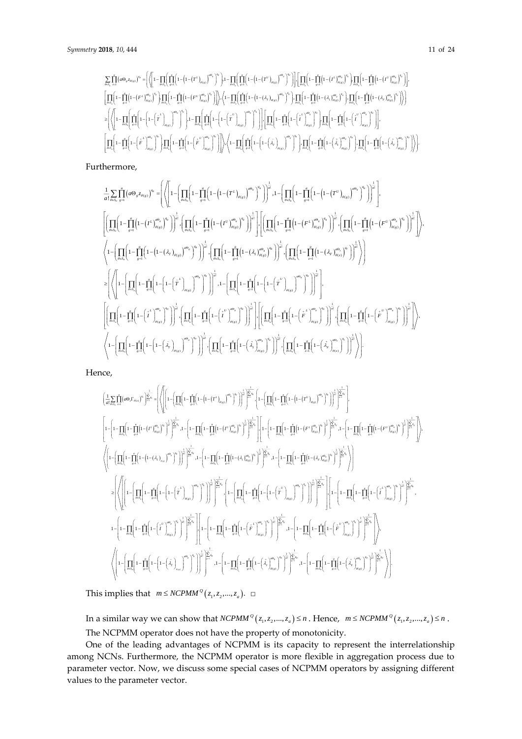$$
\label{eq:sum1} \begin{split} &\sum_{\theta \in S_{\epsilon}}\prod_{\epsilon=1}^{s} \left( d\Theta_{g} z_{\theta(\varepsilon)}\right)^{q_{\epsilon}} = \left( \left\langle \left[1-\prod_{\theta \in S_{\epsilon}}\left(\prod_{\varepsilon=1}^{s}\left(1-\left(1-\left(T^{\ell}\right)_{\theta(\varepsilon)}\right)^{\theta\theta_{\varepsilon}}\right)^{q_{\epsilon}}\right) \right] \cdot \left[ \prod_{\theta \in S_{\epsilon}}\left(1-\left(\prod_{\varepsilon=1}^{s}\left(1-\left(1-\left(T^{\ell}\right)_{\theta(\varepsilon)}\right)^{\theta\theta_{\varepsilon}}\right)^{q_{\epsilon}}\right)\right)\right] \cdot \\ &\left[\prod_{\theta \in S_{\epsilon}}\left(1-\prod_{\varepsilon=1}^{s}\left(1-\left(F^{\ell}\right)_{\theta(\varepsilon)}^{\theta\theta_{\varepsilon}}\right)^{q_{\epsilon}}\right) \prod_{\theta \in S_{\epsilon}}\left(1-\prod_{\varepsilon=1}^{s}\left(1-\left(F^{\ell}\right)_{\theta(\varepsilon)}^{\theta\theta_{\varepsilon}}\right)^{q_{\epsilon}}\right)\right]\right), \end{split} \\ \begin{split} &\left. \left[\prod_{\theta \in S_{\epsilon}}\left(1-\prod_{\varepsilon=1}^{s}\left(1-\left(F^{\ell}\right)_{\theta(\varepsilon)}^{\theta\theta_{\varepsilon}}\right)^{q_{\epsilon}}\right) \prod_{\theta \in S_{\epsilon}}\left(1-\prod_{\varepsilon=1}^{s}\left(1-\left(F^{\ell}\right)_{\theta(\varepsilon)}^{\theta\theta_{\varepsilon}}\right)^{q_{\epsilon}}\right)\right]\right), \end{split} \\ &\left. \left. \left. \left. \left[\prod_{\theta \in S_{\epsilon}}\left(1-\prod_{\varepsilon=1}^{s}\left(1-\left(F^{\ell}\right)_{\theta(\varepsilon)}^{\theta\theta_{\varepsilon}}\right)^{q_{\epsilon}}\right)^{q_{\epsilon}}\right)^{q_{\epsilon}}\right] \cdot \left. \left. \left. \left. \left[ \prod_{\theta \in S_{\epsilon}}\left(1-\left(1-\left(T^{\ell}\right)_{\theta(\varepsilon)}^{\theta\theta_{\varepsilon}}\right)^{q_{\epsilon}}\right)\right] \right\rangle \right\r
$$

Furthermore,

$$
\begin{split} &\frac{1}{a!}\sum_{\theta\in S_{-}}\prod_{s=1}^{a}\left(a\Theta_{s}z_{\theta(s)}\right)^{q_{s}}=\left[\left\langle\left[1-\left(\prod_{\theta\in S_{-}}\left(1-\left(1-\left(T^{L}\right)_{\theta(s)}\right)^{\theta s}\right)^{q_{s}}\right)\right]^{1\overline{a}},1-\left(\prod_{\theta\in S_{-}}\left(1-\prod_{s=1}^{a}\left(1-\left(1-\left(T^{U}\right)_{\theta(s)}\right)^{\theta s}\right)^{q_{s}}\right)\right)^{1\overline{a}},\\ &\left[\left(\prod_{\theta\in S_{-}}\left(1-\prod_{s=1}^{a}\left(1-\left(T^{L}\right)^{\theta s_{s}}\right)^{q_{s}}\right)\right)^{1\overline{a}},\left(\prod_{\theta\in S_{-}}\left(1-\prod_{s=1}^{a}\left(1-\left(T^{U}\right)^{\theta s_{s}}\right)^{q_{s}}\right)\right)^{1\overline{a}},\left(\prod_{\theta\in S_{-}}\left(1-\prod_{s=1}^{a}\left(1-\left(T^{U}\right)^{\theta s_{s}}\right)^{q_{s}}\right)\right)^{1\overline{a}},\left(\prod_{\theta\in S_{-}}\left(1-\prod_{s=1}^{a}\left(1-\left(T^{L}\right)^{\theta s_{s}}\right)^{q_{s}}\right)\right)^{1\overline{a}},\left(\prod_{\theta\in S_{-}}\left(1-\prod_{s=1}^{a}\left(1-\left(T^{U}\right)^{\theta s_{s}}\right)^{q_{s}}\right)\right)^{1\overline{a}},\left(\prod_{\theta\in S_{-}}\left(1-\prod_{s=1}^{a}\left(1-\left(T^{L}\right)^{\theta s_{s}}\right)^{q_{s}}\right)\right)^{1\overline{a}}\right),\\ &\left\{\lambda\left[1-\left(\prod_{\theta\in S_{-}}\left(1-\prod_{s=1}^{a}\left(1-\left(1-\left(\mathcal{A}_{T}\right)_{\theta(s)})^{q_{s}}\right)^{q_{s}}\right)\right)^{1\overline{a}}\right],1-\left(\prod_{\theta\in S_{-}}\left(1-\prod_{s=1}^{a}\left(1-\left(\mathcal{A}_{T}\right)_{\theta(s)})^{q_{s}}\right)^{q_{s}}\right)\right)^{1\overline
$$

Hence,

$$
\begin{split} &\left(\frac{1}{a!}\sum_{\theta \in \mathcal{A}_{\alpha}}\prod_{i=1}^{a}\big(a\Theta_{i}\Gamma_{\theta(i)})^{e_{i}}\right)\overset{\sum}{\overset{j}{\overset{\sum}}{}_{i}}^{b}=\left(\left(\left[\left(1-\prod_{k=1}^{a}\bigg(1-\prod_{i=1}^{n}\bigg(1-\bigg(T^{k}\bigg)_{\theta(i)})^{e_{i}}\right)^{b_{i}}\right)\right]^{b_{i}}\right)\overset{\sum}{\overset{j}{\overset{\sum}}{}_{i}}^{b_{i}}+\left(1-\left(\prod_{k=1}^{n}\bigg(1-\prod_{k=1}^{n}\bigg(1-\bigg(T^{k}\big)_{\theta(i)})^{e_{i}}\right)^{b_{i}}\right)\right)^{\frac{1}{\overset{\sum}{\overset{\sum}{\overset{\sum}{\overset{\sum}{\overset{\sum}{\overset{\sum}{\overset{\sum}{\overset{\sum}{\overset{\sum}{\overset{\sum}{\overset{\sum}{\overset{\sum}{\overset{\sum}{\overset{\sum}{\overset{\sum}{\overset{\sum}{\overset{\sum}{\overset{\sum}{\overset{\sum}{\overset{\sum}{\overset{\sum}{\overset{\sum}{\overset{\sum}{\overset{\sum}{\overset{\sum}{\overset{\sum}{\overset{\sum}{\overset{\sum}{\overset{\sum}{\overset{\sum}{\overset{\sum}{\overset{\sum}{\overset{\sum}{\overset{\sum}{\overset{\sum}{\overset{\sum}{\overset{\sum}{\overset{\sum}{\overset{\sum}{\overset{\sum}{\overset{\sum}{\overset{\sum}{\overset{\sum}{\overset{\sum}{\overset{\sum}{\overset{\sum}{\overset{\sum}{\overset{\sum}{\overset{\sum}{\overset{\sum}{\overset{\sum}{\overset{\sum}{\overset{\sum}{\overset{\sum}{\overset{\sum}{\overset{\sum}{\overset{\sum}{\overset{\sum}{\overset{\sum{x}}{\overset{\sum{x}}{\overset{\sum{x}}{\overset{\sum{x}}{\overset{\sum{x}}{\overset{\sum{x}}{\overset{\sum{x}}{\overset{\sum{x}}{\overset{\sum{x}}{\overset{\sum{x}}{\overset{\sum{x}}{\overset{\sum{x}}{\overset{\sum{x}}{\overset{\sum{x}}{\overset{\sum{x}}{\overset{\sum{x}}{\overset{\sum{x}}{\overset{\sum{x}}{\overset{\sum{x}}{\overset{\sum{x}}{\overset{\sum{x}}{\overset{\sum
$$

This implies that  $m \leq NCPMM^Q(z_1, z_2, ..., z_a)$ .  $\Box$ 

In a similar way we can show that  $NCPMM^{\mathcal{Q}}(z_1,z_2,...,z_a) \leq n$  . Hence,  $m \leq NCPMM^{\mathcal{Q}}(z_1,z_2,...,z_a) \leq n$  .

The NCPMM operator does not have the property of monotonicity.

One of the leading advantages of NCPMM is its capacity to represent the interrelationship among NCNs. Furthermore, the NCPMM operator is more flexible in aggregation process due to parameter vector. Now, we discuss some special cases of NCPMM operators by assigning different values to the parameter vector.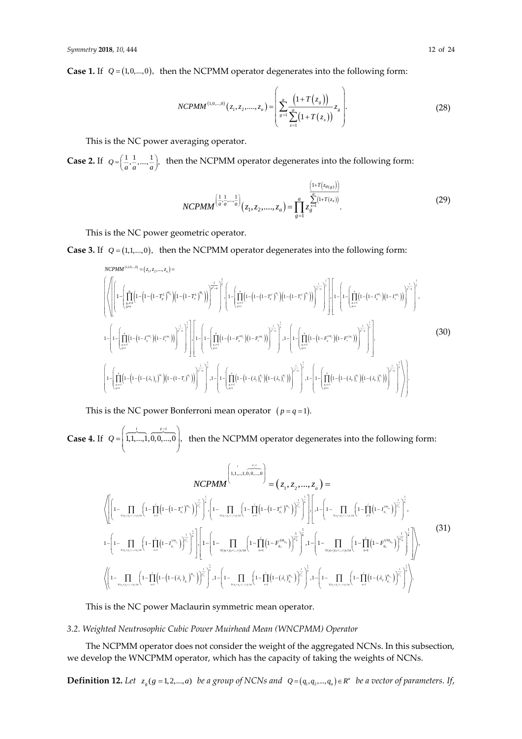**Case 1.** If  $Q = (1, 0, \ldots, 0)$ , then the NCPMM operator degenerates into the following form:

$$
NCPMM^{(1,0,\dots,0)}(z_1, z_2, \dots, z_a) = \left(\sum_{g=1}^a \frac{\left(1 + T(z_g)\right)}{\sum_{x=1}^a \left(1 + T(z_x)\right)} z_g\right).
$$
 (28)

This is the NC power averaging operator.

**Case 2.** If  $Q = \left(\frac{1}{a}, \frac{1}{a}, \ldots, \frac{1}{a}\right)$ ,  $=\left(\frac{1}{a},\frac{1}{a},\dots,\frac{1}{a}\right)$ , then the NCPMM operator degenerates into the following form:

$$
NCPMM^{\left(\frac{1}{a},\frac{1}{a},\dots,\frac{1}{a}\right)}(z_1,z_2,\dots,z_a) = \prod_{g=1}^{a} z_g^{\frac{\sum_{a=1}^{a} (1+T(z_x))}{z_g^{a-1}}}
$$
\n(29)

This is the NC power geometric operator.

**Case 3.** If  $Q = (1, 1, \ldots, 0)$ , then the NCPMM operator degenerates into the following form:

$$
NCPMM^{(1,0...0)} = (z_1, z_2,..., z_a) = \left[ \sqrt{\left[ \left( 1 - \left( 1 - (1 - T_s^{L})^{e_2} \right) \left( 1 - (1 - T_s^{L})^{e_2} \right) \right) \right]^{-\frac{1}{\alpha - a}} \right]^{\frac{1}{\alpha}} \cdot \left[ 1 - \left( \prod_{\substack{s=1 \\ s \neq t}}^{a} \left( 1 - (1 - (1 - T_s^{L})^{e_2} \right) \left( 1 - (1 - T_s^{L})^{e_2} \right) \right) \right]^{-\frac{1}{\alpha - a}} \right]^{\frac{1}{\alpha}} \cdot \left[ 1 - \left( \prod_{\substack{s=1 \\ s \neq t}}^{a} \left( 1 - (1 - (1 - T_s^{L})^{e_2} \right) \left( 1 - (1 - T_s^{L})^{e_2} \right) \right) \right]^{-\frac{1}{\alpha - a}} \right]^{\frac{1}{\alpha}} \cdot \left[ 1 - \left( \prod_{\substack{s=1 \\ s \neq t}}^{a} \left( 1 - (1 - (1 - T_s^{L})^{e_2} \right) \left( 1 - T_s^{L} \right) \right) \right]^{-\frac{1}{\alpha - a}} \right]^{\frac{1}{\alpha}} \cdot \left[ 1 - \left( 1 - \left( 1 - (1 - T_s^{L})^{e_2} \right) \left( 1 - T_s^{L} \right) \right) \right]^{-\frac{1}{\alpha - a}} \right]^{\frac{1}{\alpha}} \cdot \left[ 1 - \left( 1 - \left( 1 - (1 - T_s^{L})^{e_2} \right) \left( 1 - T_s^{L} \right) \right) \right]^{-\frac{1}{\alpha - a}} \right]^{\frac{1}{\alpha}} \cdot \left[ 1 - \left( 1 - \left( \prod_{\substack{s=1 \\ s \neq t}}^{a} \left( 1 - (1 - (1 - (1 - \lambda_s)^e) \left( 1 - (1 - T_s)^e \right) \right) \right) \right]^{-\frac{1}{\alpha - a}} \right]^{\frac{1}{\alpha}} \cdot \left[ 1 - \left( 1 - \left( \prod_{\substack{s=1 \\ s \neq t}}^{a} \left( 1 - (1 - (1 - (\lambda_s)^e) \left( 1 - (1 - T_s)^e \right) \right) \right) \right]^{-
$$

This is the NC power Bonferroni mean operator  $(p = q = 1)$ .

**Case 4.** If  $Q = \begin{bmatrix} 1,1,...,1,0,0,...,0 \end{bmatrix}$ , *i <sup>z</sup> i*  $Q = \left(\overbrace{1,1,...,1}^{\frac{z-1}{z-1}},\overbrace{0,0,...,0}^{\frac{z-1}{z-1}}\right)$ , then the NCPMM operator degenerates into the following form:

$$
NCPMM^{\left(1,\frac{z-1}{1,\frac{z-1}{1,\frac{z-1}{1,\frac{z-1}{1,\frac{z-1}{1,\frac{z-1}{1,\frac{z-1}{1,\frac{z-1}{1,\frac{z-1}{1,\frac{z-1}{1,\frac{z-1}{1,\frac{z-1}{1,\frac{z-1}{1,\frac{z-1}{1,\frac{z-1}{1,\frac{z-1}{1,\frac{z-1}{1,\frac{z-1}{1,\frac{z-1}{1,\frac{z-1}{1,\frac{z-1}{1,\frac{z-1}{1,\frac{z-1}{1,\frac{z-1}{1,\frac{z-1}{1,\frac{z-1}{1,\frac{z-1}{1,\frac{z-1}{1,\frac{z-1}{1,\frac{z-1}{1,\frac{z-1}{1,\frac{z-1}{1,\frac{z-1}{1,\frac{z-1}{1,\frac{z-1}{1,\frac{z-1}{1,\frac{z-1}{1,\frac{z-1}{1,\frac{z-1}{1,\frac{z-1}{1,\frac{z-1}{1,\frac{z-1}{1,\frac{z-1}{1,\frac{z-1}{1,\frac{z-1}{1,\frac{z-1}{1,\frac{z-1}{1,\frac{z-1}{1,\frac{z-1}{1,\frac{z-1}{1,\frac{z-1}{1,\frac{z-1}{1,\frac{z-1}{1,\frac{z-1}{1,\frac{z-1}{1,\frac{z-1}{1,\frac{z-1}{1,\frac{z-1}{1,\frac{z-1}{1,\frac{z-1}{1,\frac{z-1}{1,\frac{z-1}{1,\frac{z-1}{1,\frac{z-1}{1,\frac{z-1}{1,\frac{z-1}{1,\frac{z-1}{1,\frac{z-1}{1,\frac{z-1}{1,\frac{z-1}{1,\frac{z-1}{1,\frac{z-1}{1,\frac{z-1}{1,\frac{z-1}{1,\frac{z-1}{1,\frac{z-1}{1,\frac{z-1}{1,\frac{z-1}{1,\frac{z-1}{1,\frac{z-1}{1,\frac{z-1}{1,\frac{z-1}{1,\frac{z-1}{1,\frac{z-1}{1,\frac{z-1}{1,\frac{z-1}{1,\frac{z-1}{1,\frac{z-1}{1,\frac{z-1}{1,\frac{z-1}{1,\frac{z-1}{1,\frac{z-1}{1,\frac{z-1}{1,\frac{z-1}{
$$

This is the NC power Maclaurin symmetric mean operator.

## *3.2. Weighted Neutrosophic Cubic Power Muirhead Mean (WNCPMM) Operator*

The NCPMM operator does not consider the weight of the aggregated NCNs. In this subsection, we develop the WNCPMM operator, which has the capacity of taking the weights of NCNs.

**Definition 12.** Let  $z_g$  (g = 1,2,...,a) be a group of NCNs and  $Q = (q_1, q_2, ..., q_a) \in R^a$  be a vector of parameters. If,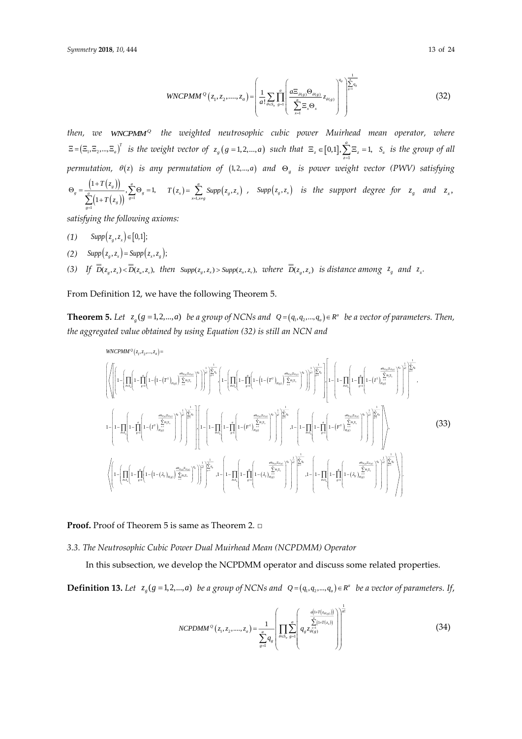$$
WNCPMM^{Q}(z_{1}, z_{2}, \ldots, z_{a}) = \left(\frac{1}{a! \sum_{\theta \in S_{a}} \prod_{g=1}^{a} \left(\frac{a \Xi_{\beta(g)} \Theta_{\theta(g)}}{\sum_{x=1}^{a} \Xi_{x} \Theta_{x}} z_{\theta(g)}\right)^{q_{g}}\right)^{\frac{1}{2} \sum_{g=1}^{a} q_{g}}
$$
(32)

then, we WNCPMM<sup>0</sup> the weighted neutrosophic cubic power Muirhead mean operator, where  $E = (E_1, E_2, ..., E_a)^T$  is the weight vector of  $z_g(g = 1, 2, ..., a)$  such that  $E_z \in [0,1], \sum_{i=1}^{a} E_z = 1$ , *z z z*<sup>=</sup>  $\Xi_z \in [0,1], \sum \Xi_z = 1$ ,  $S_a$  *is the group of all* permutation,  $\theta(z)$  is any permutation of  $(1,2,...,a)$  and  $\Theta_{_g}$  is power weight vector (PWV) satisfying  $(1+T(z_g))$  $\left( 1\! +\! T\!\left( z_{_{\mathcal{B}}} \right) \right) \;\overline{\;\;s^{\text{-}1}}$  $\frac{1+T(z_s))}{\sum_{\alpha=1}^a \Theta_{\alpha}} = 1,$ 1  $\sum_{g}^{g} = \frac{\left(1+T\left(\frac{z_{g}}{g}\right)\right)}{\sum_{g=1}^{a}(1+T\left(\frac{z_{g}}{g}\right))}, \sum_{g=1}^{a}\Theta_{g}$ *g T z*  $T(z_*)$ )  $s=$  $\Theta = \frac{(1+I(z_g))}{I}$ ,  $\sum_{i=1}^{n} \Theta_i$  $\frac{(\sqrt[3]{s})}{\sqrt[3]{t}}$ ,  $\sum_{s=1}$ Σ  $(z_x) = \sum_{x=1, x\neq g} \text{Supp}(z_g, z_x)$ *a*  $T(z_x) = \sum_{x=1, x\neq g} \text{Supp}(z_g, z_x)$  $=\sum_{i=1}^{\infty}$  Supp $(z_s, z_x)$ , Supp $(z_s, z_x)$  is the support degree for  $z_s$  and  $z_x$ ,

*satisfying the following axioms:*

- *(1)*  $Supp(z_s, z_x) \in [0,1];$
- $\text{(2)} \quad \text{Supp}\big(z_{s}, z_{x}\big) = \text{Supp}\big(z_{x}, z_{s}\big);$
- (3) If  $\overline{D}(z_g, z_x) < \overline{D}(z_u, z_v)$ , then  $Supp(z_g, z_x) > Supp(z_u, z_v)$ , where  $\overline{D}(z_g, z_x)$  is distance among  $z_g$  and  $z_x$ .

From Definition 12, we have the following Theorem 5.

**Theorem 5.** Let  $z_g(g=1,2,...,a)$  be a group of NCNs and  $Q=(q_1,q_2,...,q_a)\in R^a$  be a vector of parameters. Then, *the aggregated value obtained by using Equation (32) is still an NCN and*

$$
\mathbf{WNCPMM}^{O}(z_{1},z_{2},...,z_{a}) = \left[\left(\left|\left[1-\prod_{\substack{a=1\\ \alpha\leq x\\ \alpha\leq x}}\left(1-\prod_{\substack{s=1\\ \alpha\leq x}}\left(1-\prod_{\substack{s=1\\ \alpha\leq x}}\left(1-\prod_{\substack{s=1\\ \alpha\leq x}}\left(1-\prod_{\substack{s=1\\ \alpha\leq x}}\left(1-\prod_{\substack{s=1\\ \alpha\leq x}}\left(1-\prod_{\substack{s=1\\ \alpha\leq x}}\left(1-\prod_{\substack{s=1\\ \alpha\leq x}}\left(1-\prod_{\substack{s=1\\ \alpha\leq x}}\left(1-\prod_{\substack{s=1\\ \alpha\leq x}}\left(1-\prod_{\substack{s=1\\ \alpha\leq x}}\left(1-\prod_{\substack{s=1\\ \alpha\leq x}}\left(1-\prod_{\substack{s=1\\ \alpha\leq x}}\left(1-\prod_{\substack{s=1\\ \alpha\leq x}}\left(1-\prod_{\substack{s=1\\ \alpha\leq x}}\left(1-\prod_{\substack{s=1\\ \alpha\leq x}}\left(1-\prod_{\substack{s=1\\ \alpha\leq x}}\left(1-\prod_{\substack{s=1\\ \alpha\leq x}}\left(1-\prod_{\substack{s=1\\ \alpha\leq x}}\left(1-\prod_{\substack{s=1\\ \alpha\leq x}}\left(1-\prod_{\substack{s=1\\ \alpha\leq x}}\left(1-\prod_{\substack{s=1\\ \alpha\leq x}}\left(1-\prod_{\substack{s=1\\ \alpha\leq x}}\left(1-\prod_{\substack{s=1\\ \alpha\leq x}}\left(1-\prod_{\substack{s=1\\ \alpha\leq x}}\left(1-\prod_{\substack{s=1\\ \alpha\leq x}}\left(1-\prod_{\substack{s=1\\ \alpha\leq x}}\left(1-\prod_{\substack{s=1\\ \alpha\leq x}}\left(1-\prod_{\substack{s=1\\ \alpha\leq x}}\left(1-\prod_{\substack{s=1\\ \alpha\leq x}}\left(1-\prod_{\substack{s=1\\ \alpha\leq x}}\left(1-\prod_{\substack{s=1\\ \alpha\leq x}}\left(1-\prod_{\substack{s=1\\ \alpha\leq x}}\left(1-\prod_{\substack{s=1\\ \alpha\leq x}}\left(1-\prod
$$

**Proof.** Proof of Theorem 5 is same as Theorem 2. □

*3.3. The Neutrosophic Cubic Power Dual Muirhead Mean (NCPDMM) Operator*

In this subsection, we develop the NCPDMM operator and discuss some related properties.

**Definition 13.** Let  $z_g$  ( $g = 1, 2, ..., a$ ) be a group of NCNs and  $Q = (q_1, q_2, ..., q_a) \in R^a$  be a vector of parameters. If,

$$
NCPDMM^{Q}(z_{1}, z_{2}, \ldots, z_{a}) = \frac{1}{\sum_{g=1}^{a} q_{g}} \left( \prod_{\theta \in S_{a}} \sum_{g=1}^{a} \left( q_{g} \frac{z_{\theta(g)}^{(1+T(z_{\theta(g)})})}{q_{g} z_{\theta(g)}^{(1+T(z_{a}))}} \right) \right)^{\frac{1}{a!}}
$$
(34)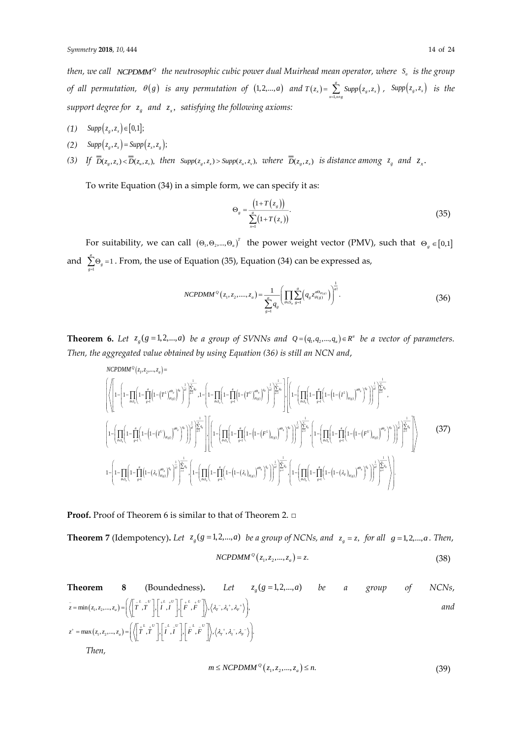*then, we call NCPDMM<sup>o</sup> the neutrosophic cubic power dual Muirhead mean operator, where*  $\,$  $\,$ *s*  $\,$  *is the group of all permutation,*  $\theta(g)$  *is any permutation of*  $(1,2,...,a)$  *and*  $T(z_x) = \sum_{x=1,x\neq g} Supp(z_s,z_x)$  $T(z_x) = \sum_{x=1, x\neq g} \text{Supp}(z_g, z_x)$  $= \sum_{\alpha}^{\alpha} \text{Supp}(z_{s}, z_{x})$ , Supp $(z_{s}, z_{x})$  is the support degree for  $z_{\rm g}$  and  $z_{\rm x}$ , satisfying the following axioms:

- *(1)*  $Supp(z_s, z_x) \in [0,1];$
- $\text{(2)} \quad \text{Supp}\left(z_{g}, z_{x}\right) = \text{Supp}\left(z_{x}, z_{g}\right);$
- (3) If  $\overline{D}(z_g, z_x) < \overline{D}(z_u, z_v)$ , then  $Supp(z_g, z_x) > Supp(z_u, z_v)$ , where  $\overline{D}(z_g, z_x)$  is distance among  $z_g$  and  $z_x$ .

To write Equation (34) in a simple form, we can specify it as:

$$
\Theta_{s} = \frac{\left(1 + T\left(z_{s}\right)\right)}{\sum_{i=1}^{a} \left(1 + T\left(z_{s}\right)\right)}.\tag{35}
$$

For suitability, we can call  $(\Theta_1, \Theta_2, ..., \Theta_a)^T$  the power weight vector (PMV), such that  $\Theta_g \in [0,1]$ and  $\sum_{g=1}^{a} \Theta_{g} = 1$  $\sum \Theta_{_{\rm g}}$  =1 . From, the use of Equation (35), Equation (34) can be expressed as, *g*<sup>=</sup>

*x*

NCPDMM<sup>o</sup> (z<sub>1</sub>, z<sub>2</sub>,..., z<sub>a</sub>) = 
$$
\frac{1}{\sum_{g=1}^{a} q_g} \left( \prod_{\theta \in S_a} \sum_{g=1}^{a} \left( q_g z_{\theta(g)}^{\omega_{\theta(g)}} \right) \right)^{\frac{1}{a!}}.
$$
 (36)

**Theorem 6.** Let  $z_g(g=1,2,...,a)$  be a group of SVNNs and  $Q=(q_1,q_2,...,q_a) \in R^a$  be a vector of parameters. *Then, the aggregated value obtained by using Equation (36) is still an NCN and*,

$$
\begin{split} &NCPDMM^{Q}\left(z_{1},z_{2},...,z_{a}\right)=\\ &\left(\left\langle\left[1-\left[1-\prod_{\delta\in S_{\epsilon}}\left[1-\prod_{s=1}^{a}\left(1-\left(I^{-\ell^{D}}\right)^{\omega_{\theta_{s}}}_{\beta_{s}}\right)^{q_{s}}\right]_{\sigma}^{\frac{1}{\alpha}}\right]_{\sigma}^{\frac{1}{\alpha_{s}}},1-\left[1-\prod_{\delta\in S_{\epsilon}}\left[1-\prod_{s=1}^{a}\left(1-\left(I^{-\ell^{D}}\right)^{\omega_{\theta_{s}}}_{\beta_{s}}\right)^{q_{s}}\right]\right]_{\sigma}^{\frac{1}{\alpha_{s}}}\right]_{\sigma}^{\frac{1}{\alpha_{s}}},\\ &\left[1-\left(\prod_{\delta\in S_{\epsilon}}\left[1-\prod_{s=1}^{a}\left(1-\left(1-\left(I^{-\ell^{D}}\right)_{\theta_{(s)}}\right)^{\omega_{s}}\right)^{q_{s}}\right)\right]_{\sigma}^{\frac{1}{\alpha_{s}}}\right]_{\sigma}^{\frac{1}{\alpha_{s}}}\right]_{\sigma}^{\frac{1}{\alpha_{s}}}\right]_{\sigma}^{\frac{1}{\alpha_{s}}}\left[\left(1-\left(\prod_{\delta\in S_{\epsilon}}\left[1-\prod_{s=1}^{a}\left(1-\left(I^{-\ell^{D}}\right)_{\theta_{(s)}}\right)^{\omega_{s}}\right)^{q_{s}}\right)\right]_{\sigma}^{\frac{1}{\alpha_{s}}}\right]_{\sigma}^{\frac{1}{\alpha_{s}}}\right]_{\sigma}^{\frac{1}{\alpha_{s}}}\right]_{\sigma}^{\frac{1}{\alpha_{s}}}\left[\left(1-\left(\prod_{\delta\in S_{\epsilon}}\left[1-\prod_{s=1}^{a}\left(1-\left(I^{-\ell^{D}}\right)_{\theta_{(s)}}\right)^{\omega_{s}}\right)^{q_{s}}\right)\right]_{\sigma}^{\frac{1}{\alpha_{s}}}\right]_{\sigma}^{\frac{1}{\alpha_{s}}}\right]_{\sigma}^{\frac{1}{\alpha_{s}}}\right]\left[\left(1-\left(\prod_{\delta\in S_{\epsilon}}\left[1-\prod_{s=1}^{a}\left(1-\left(I^{-\ell^{D}}\right)_{\theta_{(s)}}\right)^{\omega_{s}}\right)^{q_{s}}\right)\right]_{\sigma}^{\frac
$$

**Proof.** Proof of Theorem 6 is similar to that of Theorem 2. □

**Theorem 7** (Idempotency). Let  $z_g$  ( $g = 1, 2, ..., a$ ) be a group of NCNs, and  $z_g = z$ , for all  $g = 1, 2, ..., a$ . Then,

$$
NCPDMM^{\mathcal{Q}}(z_1, z_2, \dots, z_a) = z. \tag{38}
$$

**Theorem 8** (Boundedness). Let 
$$
z_g(g = 1, 2, ..., a)
$$
 be a group of NCNs,  
\n
$$
\overline{z} = \min(z_1, z_2, ..., z_a) = \left( \left\langle \begin{bmatrix} \overline{r}^L, \overline{r}^U \\ \overline{r}^L, \overline{r}^U \end{bmatrix}, \begin{bmatrix} \overline{r}^L, \overline{r}^U \\ \overline{r}^L, \overline{r}^U \end{bmatrix}, \begin{bmatrix} \overline{r}^L, \overline{r}^U \\ \overline{r}^L, \overline{r}^U \end{bmatrix} \right), \langle \lambda_{\overline{r}}^-, \lambda_{\overline{r}}^+, \lambda_{\overline{r}}^+ \rangle \right),
$$
\nand  
\n
$$
z^* = \max(z_1, z_2, ..., z_a) = \left( \left\langle \begin{bmatrix} \overline{r}^L, \overline{r}^U \\ \overline{r}^L, \overline{r}^U \end{bmatrix}, \begin{bmatrix} \overline{r}^L, \overline{r}^U \\ \overline{r}^L, \overline{r}^U \end{bmatrix} \right\rangle, \langle \lambda_{\overline{r}}^+, \lambda_{\overline{r}}^-, \lambda_{\overline{r}}^-\rangle \right).
$$
\nThen,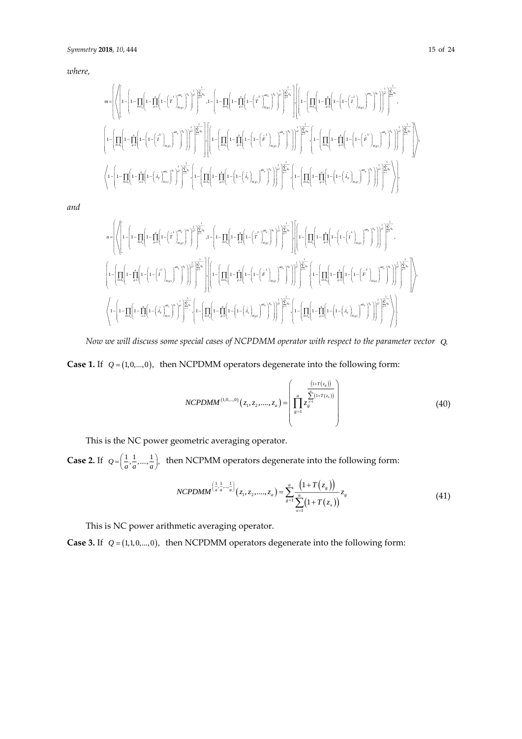*where,*

$$
m = \left( \left( \left| 1 - \left[ 1 - \prod_{\alpha \in S_{\epsilon}} \left[ 1 - \prod_{s=1}^{\alpha} \left( 1 - \left( \frac{\tau}{T} \right)^{\alpha \beta_{s}} \right)^{q_{c}} \right] \right] \right|^{1 - \left| \sum_{s=1}^{n} q_{s}} , 1 - \left[ 1 - \prod_{\alpha \in S_{\epsilon}} \left[ 1 - \prod_{s=1}^{\alpha} \left( 1 - \left( \frac{\tau}{T} \right)^{\alpha \beta_{s}} \right)^{q_{c}} \right] \right] \right|^{1 - \left| \sum_{s=1}^{n} q_{s}} , 1 - \left[ 1 - \prod_{\alpha \in S_{\epsilon}} \left[ 1 - \prod_{s=1}^{\alpha} \left( 1 - \left( \frac{\tau}{T} \right)^{\alpha \beta_{s}} \right)^{q_{c}} \right] \right] \right|^{1 - \left| \sum_{s=1}^{n} q_{s}} , 1 - \left[ 1 - \prod_{\alpha \in S_{\epsilon}} \left[ 1 - \prod_{s=1}^{\alpha} \left( 1 - \left( \frac{\tau}{T} \right)^{\alpha_{s}} \right)^{q_{c}} \right] \right] \right) \right)^{1 - \left| \sum_{s=1}^{n} q_{s}} , 1 - \left( \prod_{\alpha \in S_{\epsilon}} \left[ 1 - \prod_{s=1}^{\alpha} \left( 1 - \left( \frac{\tau}{T} \right)^{\alpha_{s}} \right)^{q_{c}} \right] \right) \right|^{1 - \left| \sum_{s=1}^{n} q_{s}} , 1 - \left( \prod_{\alpha \in S_{\epsilon}} \left[ 1 - \prod_{s=1}^{\alpha} \left( 1 - \left( \frac{\tau}{T} \right)^{\alpha_{s}} \right)^{q_{c}} \right] \right) \right|^{1 - \left| \sum_{s=1}^{n} q_{s}} , 1 - \left( \prod_{\alpha \in S_{\epsilon}} \left[ 1 - \prod_{s=1}^{\alpha} \left( 1 - \left( \frac{\tau}{T} \right)^{\alpha_{s}} \right)^{q_{c}} \right] \right|^{1 - \left| \sum_{s=1}^{n} q_{s}} , 1 - \left( \prod_{s=1}^{\alpha} \left( 1 - \left( \frac{\tau}{T} \right)^{\alpha_{s}} \right)^{q_{c}} \right
$$

*and*

$$
n=\left(\left(\left[1-\left(1-\prod_{\alpha\in\mathbb{S}_i}\left[1-\prod_{\alpha\in\mathbb{S}_i}\left[1-\prod_{\alpha\in\mathbb{S}_i}^{a}\left(1-\left(\hat{\boldsymbol{\mathcal{I}}}^{t}\right)^{\alpha\theta_{\varepsilon}}\right)^{q_{\varepsilon}}\right]_{\varepsilon}^{\frac{1}{\alpha}}\right)^{\frac{1}{\alpha}}\right)^{\frac{1}{\alpha}}\right)^{\frac{1}{\alpha}}\right)^{\frac{1}{\alpha}}\cdot\\ 1-\left(1-\left(\prod_{\alpha\in\mathbb{S}_i}\left[1-\prod_{\alpha\in\mathbb{S}_i}\left[1-\left(\hat{\boldsymbol{\mathcal{I}}}^{t}\right)^{\alpha\theta_{\varepsilon}}\right)^{q_{\varepsilon}}\right)\right)^{\frac{1}{\alpha}}\right)^{\frac{1}{\alpha}}\cdot\\ \left(1-\left(\prod_{\alpha\in\mathbb{S}_i}\left[1-\prod_{\alpha\in\mathbb{S}_i}\left[1-\left(\hat{\boldsymbol{\mathcal{I}}}^{t}\right)^{\alpha\theta_{\varepsilon}}\right]_{\varepsilon_{\alpha}}^{q_{\varepsilon}}\right)\right)^{\alpha\beta}\right)^{\frac{1}{\alpha}}\cdot\\ \left(1-\left(\prod_{\alpha\in\mathbb{S}_i}\left[1-\prod_{\alpha\in\mathbb{S}_i}\left[1-\left(\hat{\boldsymbol{\mathcal{I}}}^{t}\right)^{\alpha\theta_{\varepsilon}}\right]_{\varepsilon_{\alpha}}^{q_{\varepsilon}}\right)\right)^{\frac{1}{\alpha}}\right)^{\frac{1}{\alpha}}\cdot\\ \left[\left(1-\left(\prod_{\alpha\in\mathbb{S}_i}\left[1-\prod_{\alpha\in\mathbb{S}_i}\left[1-\left(\hat{\boldsymbol{\mathcal{I}}}^{t}\right)^{\alpha\theta_{\varepsilon}}\right]_{\varepsilon_{\alpha}}^{q_{\varepsilon}}\right)\right)^{\alpha\beta}\right]_{\varepsilon}^{q_{\varepsilon}}\cdot\\ \left(1-\left(\prod_{\alpha\in\mathbb{S}_i}\left[1-\prod_{\alpha\in\mathbb{S}_i}\left[1-\left(\hat{\boldsymbol{\mathcal{I}}}^{t}\right)^{\alpha\theta_{\varepsilon}}\right]_{\varepsilon_{\alpha}}^{q_{\varepsilon}}\right)\right)^{\alpha\beta}\right)^{\frac{1}{\alpha}}\cdot\\ \left(\left(1-\left(\prod_{
$$

*Now we will discuss some special cases of NCPDMM operator with respect to the parameter vector Q*.

**Case 1.** If  $Q = (1, 0, \ldots, 0)$ , then NCPDMM operators degenerate into the following form:

$$
NCPDMM^{(1,0,\dots,0)}(z_1, z_2, \dots, z_a) = \left(\prod_{g=1}^a \sum_{z_g^{(1+T(z_s))}}^{\frac{(1+T(z_g))}{\frac{a}{s}}}\right)
$$
(40)

This is the NC power geometric averaging operator.

**Case 2.** If  $Q = \left(\frac{1}{a}, \frac{1}{a}, \ldots, \frac{1}{a}\right)$ ,  $=\left(\frac{1}{a},\frac{1}{a},\dots,\frac{1}{a}\right)$ , then NCPMM operators degenerate into the following form:

$$
NCPDMM^{\left(\frac{1}{a}\cdot\frac{1}{a}\cdot\frac{1}{a}\right)}(z_1, z_2, \dots, z_a) = \sum_{g=1}^a \frac{\left(1+T\left(z_g\right)\right)}{\sum_{x=1}^a \left(1+T\left(z_x\right)\right)} z_g \tag{41}
$$

This is NC power arithmetic averaging operator.

**Case 3.** If  $Q = (1, 1, 0, \ldots, 0)$ , then NCPDMM operators degenerate into the following form: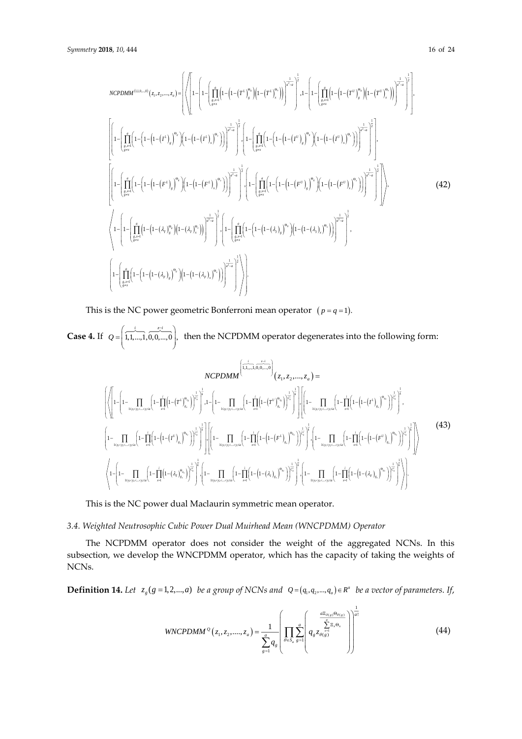$$
NCPDMM^{(11,0...0)}(z_1, z_2,..., z_a) = \left\{ \left( \left[ 1 - \left( \prod_{\substack{z \text{ odd} \\ z \text{ odd}}}^{a} \left( 1 - \left( 1 - \left( T^{-1} \right)_{z}^{a} \right) \right) \left( 1 - \left( T^{-1} \right)_{z}^{a} \right) \right) \right]_{z-a}^{1} \right\}^{\frac{1}{2}} \right) \cdot 1 - \left[ 1 - \left( \prod_{\substack{z \text{ odd} \\ z \text{ odd}}}^{a} \left( 1 - \left( 1 - \left( T^{-1} \right)_{z}^{a} \right) \right) \left( 1 - \left( T^{-1} \right)_{z}^{a} \right) \right) \right]_{z-a}^{1} \right]_{z-a}^{1} \right]_{z-a}^{1} \right]
$$
\n
$$
\left[ \left[ 1 - \left( \prod_{\substack{z \text{ odd} \\ z \text{ odd}}}^{a} \left( 1 - \left( 1 - \left( 1 - \left( T^{-1} \right)_{z} \right)^{a} \right) \left( 1 - \left( 1 - \left( T^{1} \right)_{z} \right)^{b} \right) \right) \right]_{z-a}^{1} \right]_{z-a}^{1} \right]_{z-a}^{1} \right]_{z-a}^{1} \right]
$$
\n
$$
\left[ \left( 1 - \left( \prod_{\substack{z \text{ odd} \\ z \text{ odd}}}^{a} \left( 1 - \left( 1 - \left( 1 - \left( T^{-1} \right)_{z} \right)^{b} \right) \left( 1 - \left( 1 - \left( T^{1} \right)_{z} \right)^{b} \right) \right) \right]_{z-a}^{1} \right]_{z-a}^{1} \right]_{z-a}^{1} \right]
$$
\n
$$
\left[ \left( 1 - \left( \prod_{\substack{z \text{ odd} \\ z \text{ odd}}}^{a} \left( 1 - \left( 1 - \left( 1 - \left( F^{1} \right)_{z} \right)^{b} \right) \left( 1 - \left( 1 - \left( F^{1} \right)_{z} \right)^{b} \right) \right) \right] \right]_{z-a}^{1} \right]_{z-a}^{1} \right]
$$
\n
$$
\left(
$$

This is the NC power geometric Bonferroni mean operator  $(p = q = 1)$ .

Case 4. If 
$$
Q = \left( \overline{1, 1, ..., 1, 0, 0, ..., 0} \right)
$$
, then the NCPDMM operator degenerates into the following form:  
\n
$$
NCPDMM \left( \overline{1, 1, ..., 1, 0, 0, ..., 0} \right) \left( \overline{1, 1, ..., 1, 0, 0, ..., 0} \right) \left( \overline{1, 1, ..., 1, 0, 0, ..., 0} \right) \left( \overline{1, 1, ..., 1, 0, 0, ..., 0} \right) \left( \overline{1, 1, ..., 1, 0, 0, ..., 0} \right) \left( \overline{1, 1, ..., 1, 0, 0, ..., 0} \right) \left( \overline{1, 1, ..., 1, 0, 0, ..., 0} \right) \left( \overline{1, 1, ..., 1, 0, 0, ..., 0} \right) \left( \overline{1, 1, ..., 1, 0, 0, ..., 0} \right) \left( \overline{1, 1, ..., 1, 0, 0, ..., 0} \right) \left( \overline{1, 1, ..., 1, 0, 0, ..., 0} \right) \left( \overline{1, 1, ..., 1, 0, 0, ..., 0} \right) \left( \overline{1, 1, ..., 1, 0, 0, ..., 0} \right) \left( \overline{1, 1, ..., 1, 0, 0, ..., 0} \right) \left( \overline{1, 1, ..., 1, 0, 0, ..., 0} \right) \left( \overline{1, 1, ..., 1, 0, 0, ..., 0} \right) \left( \overline{1, 1, ..., 1, 0, 0, ..., 0} \right) \left( \overline{1, 1, ..., 1, 0, 0, ..., 0} \right) \left( \overline{1, 1, ..., 1, 0, 0, ..., 0} \right) \left( \overline{1, 1, ..., 1, 0, 0, ..., 0} \right) \left( \overline{1, 1, ..., 1, 0, 0, ..., 0} \right) \left( \overline{1, 1, ..., 1, 0, 0, ..., 0} \right) \left( \overline{1, 1, ..., 1, 0, 0, ..., 0} \right) \left( \overline{1, 1, ..., 1, 0, 0, ..., 0} \right)
$$

This is the NC power dual Maclaurin symmetric mean operator.

# *3.4. Weighted Neutrosophic Cubic Power Dual Muirhead Mean (WNCPDMM) Operator*

The NCPDMM operator does not consider the weight of the aggregated NCNs. In this subsection, we develop the WNCPDMM operator, which has the capacity of taking the weights of NCNs.

**Definition 14.** Let  $z_g$  ( $g = 1, 2, ..., a$ ) be a group of NCNs and  $Q = (q_1, q_2, ..., q_a) \in \mathbb{R}^a$  be a vector of parameters. If,

$$
WNCPDMM^{Q}(z_{1}, z_{2},..., z_{a}) = \frac{1}{\sum_{g=1}^{a} q_{g}} \left( \prod_{\theta \in S_{a}} \sum_{g=1}^{a} \left( q_{g} z_{\theta(g)}^{\frac{a \mathbb{E}_{g(y)} \Theta_{g(y)}}{\sum_{z=1}^{a} \mathbb{E}_{z} \Theta_{z}}} \right) \right)^{\frac{1}{a!}}
$$
(44)

1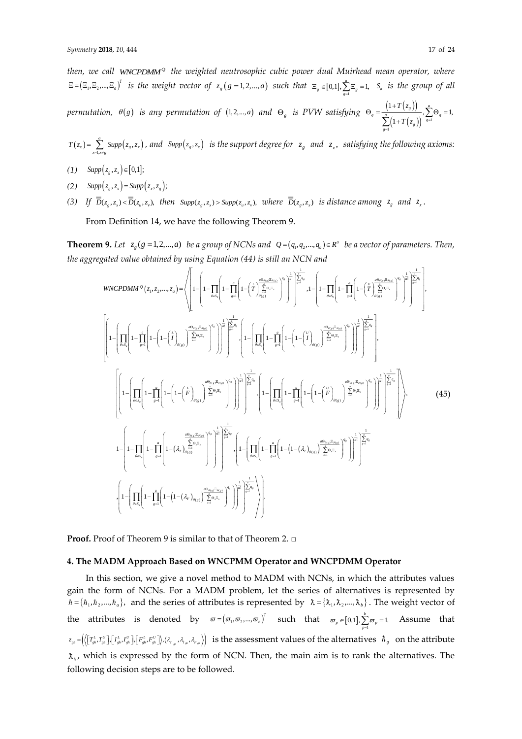*then, we call WNCPDMM<sup>o</sup> the weighted neutrosophic cubic power dual Muirhead mean operator, where*  $\Xi = (\Xi_1, \Xi_2, ..., \Xi_a)^T$  is the weight vector of  $z_g$  ( $g = 1, 2, ..., a$ ) such that  $\Xi_g \in [0,1], \sum_{s=1}^{a} \Xi_g = 1$ ,  $g \quad \downarrow \quad \downarrow' \quad \downarrow' \quad g$ <br>  $g=1$  $\Xi_{g} \in [0,1], \sum \Xi_{g} = 1,$  *S<sub>a</sub>* is the group of all *permutation,*  $\theta(g)$  *is any permutation of* (1,2,...,*a*) *and*  $\Theta_g$  *is PVW satisfying*  $\Theta_g = \frac{(1+T(z_g))}{(1-T(z_g))}$  $\left(1+T\left(\rule{0pt}{12pt}\right)\right)^{-g=1}$  $\frac{1+T(z_s))}{\sigma}$ ,  $\sum_{\alpha=1}^{\infty}\Theta_{\alpha}=1$ , 1  $\mathcal{L}_{g} = \frac{\left(1+T\left(\mathcal{Z}_{g}\right)\right)}{\sum_{s=1}^{a}(1+T\left(\mathcal{Z}_{g}\right))}, \sum_{s=1}^{a}\Theta_{g}$ *g T z*  $T(z_*)$ )  $s=$  $\Theta_{\epsilon} = \frac{(1+T(z_g))}{\sum_{i=1}^{n} \Theta_{\epsilon}}$  $\frac{(\frac{g}{g})}{\frac{1}{f}T(z)}$ ,  $\sum_{g=1}$ Σ

- $(z_x) = \sum_{x=1, x\neq g}^{a} \text{Supp}(z_g, z_x)$  $T(z_x) = \sum_{x=1, x \neq g} \text{Supp}(z_x, z_x)$ , and  $\text{Supp}(z_x, z_x)$  is the support degree for  $z_g$  and  $z_x$ , satisfying the following axioms:
- *(1)*  $Supp(z_s, z_x) \in [0,1];$
- $\text{(2)} \quad \text{Supp}\left(z_g, z_x\right) = \text{Supp}\left(z_x, z_g\right);$
- (3) If  $D(z_x, z_x) < D(z_u, z_v)$ , then  $Supp(z_x, z_x) > Supp(z_u, z_v)$ , where  $D(z_x, z_x)$  is distance among  $z_x$  and  $z_x$ .

From Definition 14, we have the following Theorem 9.

**Theorem 9.** Let  $z_g(g = 1, 2, ..., a)$  be a group of NCNs and  $Q = (q_1, q_2, ..., q_a) \in R^a$  be a vector of parameters. Then,<br>the aggregated value obtained by using Equation (44) is still an NCN and<br> $\sqrt{\left(\left(\left(\left(\frac{q_1}{(1, q_1, ..., q_a)^{\frac{1}{a_a$ 

the aggregated value obtained by using Equation (44) is still an NC and  
\nWNCPDMM<sup>o</sup>(z<sub>1</sub>, z<sub>2</sub>,...,z<sub>a</sub>) = 
$$
\left\{\left[1-\left[1-\prod_{\substack{n=1\\n\neq j}}^{\infty}\left[1-\prod_{\substack{n=1\\n\neq j}}^{\infty}\left[1-\prod_{\substack{n=1\\n\neq j}}^{\infty}\left[1-\prod_{\substack{n=1\\n\neq j}}^{\infty}\left[1-\prod_{\substack{n=1\\n\neq j}}^{\infty}\left[1-\prod_{\substack{n=1\\n\neq j}}^{\infty}\left[1-\prod_{\substack{n=1\\n\neq j}}^{\infty}\left[1-\prod_{\substack{n=1\\n\neq j}}^{\infty}\left[1-\prod_{\substack{n=1\\n\neq j}}^{\infty}\left[1-\prod_{\substack{n=1\\n\neq j}}^{\infty}\left[1-\prod_{\substack{n=1\\n\neq j}}^{\infty}\left[1-\prod_{\substack{n=1\\n\neq j}}^{\infty}\left[1-\prod_{\substack{n=1\\n\neq j}}^{\infty}\left[1-\prod_{\substack{n=1\\n\neq j}}^{\infty}\left[1-\prod_{\substack{n=1\\n\neq j}}^{\infty}\left[1-\prod_{\substack{n=1\\n\neq j}}^{\infty}\left[1-\prod_{\substack{n=1\\n\neq j}}^{\infty}\left[1-\prod_{\substack{n=1\\n\neq j}}^{\infty}\left[1-\prod_{\substack{n=1\\n\neq j}}^{\infty}\left[1-\prod_{\substack{n=1\\n\neq j}}^{\infty}\left[1-\prod_{\substack{n=1\\n\neq j}}^{\infty}\left[1-\prod_{\substack{n=1\\n\neq j}}^{\infty}\left[1-\prod_{\substack{n=1\\n\neq j}}^{\infty}\left[1-\prod_{\substack{n=1\\n\neq j}}^{\infty}\left[1-\prod_{\substack{n=1\\n\neq j}}^{\infty}\left[1-\prod_{\substack{n=1\\n\neq j}}^{\infty}\left[1-\prod_{\substack{n=1\\n\neq j}}^{\infty}\left[1-\prod_{\substack{n=1\\n\neq j}}^{\infty}\left[1-\prod_{\substack{n=1\\n\neq j}}^{\infty}\left[1
$$

**Proof.** Proof of Theorem 9 is similar to that of Theorem 2. □

# **4. The MADM Approach Based on WNCPMM Operator and WNCPDMM Operator**

In this section, we give a novel method to MADM with NCNs, in which the attributes values gain the form of NCNs. For a MADM problem, let the series of alternatives is represented by  $= \{h_1, h_2, ..., h_a\}$ , and the series of attributes is represented by  $\lambda = \{\lambda_1, \lambda_2, ..., \lambda_b\}$ . The weight vector of the attributes is denoted by  $\varpi = (\varpi_1, \varpi_2, ..., \varpi_b)^T$  such that  $\varpi_p \in [0,1], \sum_{i=1}^{b} \varpi_p = 1$ .  $\varpi$ <sub>*p*</sub>  $\in$  [0,1],  $\sum \varpi$ <sub>*p*</sub> = 1. Assume that *p*  $\mathcal{Z}_{\mathit{gh}} = \left(\left\langle \left[T^L_{\mathit{gh}}, T^U_{\mathit{gh}}\right], \left[I^L_{\mathit{gh}}, I^U_{\mathit{gh}}\right], \left\{F^L_{\mathit{gh}}, F^U_{\mathit{gh}}\right], \left\langle\lambda_{T_{\mathit{gh}}}, \lambda_{T_{\mathit{gh}}}, \lambda_{T_{\mathit{gh}}}\right\rangle\right\}\right) \text{ is the assessment values of the alternatives } \begin{array}{c} \hbar_g \text{ \ on the attribute} \end{array}$ *h* , which is expressed by the form of NCN. Then, the main aim is to rank the alternatives. The following decision steps are to be followed.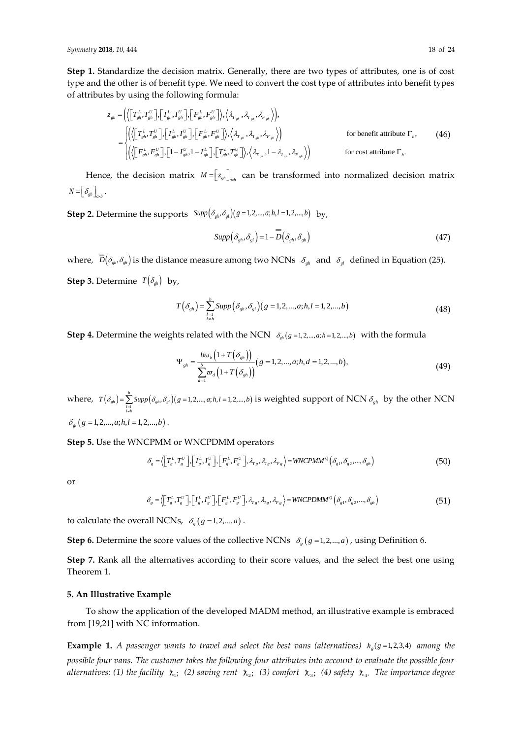**Step 1.** Standardize the decision matrix. Generally, there are two types of attributes, one is of cost type and the other is of benefit type. We need to convert the cost type of attributes into benefit types of attributes by using the following formula:

$$
z_{gh} = \left( \left\langle \left[ T_{gh}^{L}, T_{gh}^{U} \right], \left[ I_{gh}^{L}, I_{gh}^{U} \right], \left[ F_{gh}^{L}, F_{gh}^{U} \right] \right\rangle, \left\langle \lambda_{T_{gh}}, \lambda_{T_{gh}} \cdot \lambda_{T_{gh}} \right\rangle \right),
$$
\n
$$
= \left\{ \left( \left\langle \left[ T_{gh}^{L}, T_{gh}^{U} \right], \left[ I_{gh}^{L}, I_{gh}^{U} \right], \left[ F_{gh}^{L}, F_{gh}^{U} \right] \right\rangle, \left\langle \lambda_{T_{gh}}, \lambda_{T_{gh}} \cdot \lambda_{T_{gh}} \right\rangle \right\}
$$
\nfor benefit attribute  $\Gamma_{h}$ , (46)\n
$$
\left( \left\langle \left[ F_{gh}^{L}, F_{gh}^{U} \right], \left[ 1 - I_{gh}^{U}, 1 - I_{gh}^{L} \right], \left[ T_{gh}^{L}, T_{gh}^{U} \right] \right\rangle, \left\langle \lambda_{T_{gh}}, 1 - \lambda_{T_{gh}}, \lambda_{F_{gh}} \right\rangle \right\}
$$
\nfor cost attribute  $\Gamma_{h}$ .

Hence, the decision matrix  $M = \left[ z_{gh} \right]_{g \circ h}$  can be transformed into normalized decision matrix  $N = \left[ \delta_{\scriptscriptstyle gh} \right]_{\scriptscriptstyle a \times b}$ .

**Step 2.** Determine the supports  $Supp(\delta_{gh}, \delta_{gl})(g=1,2,...,a;h,l=1,2,...,b)$  by,

$$
Supp\left(\delta_{gh},\delta_{gl}\right)=1-\overline{\overline{D}}\left(\delta_{gh},\delta_{gh}\right)
$$
\n(47)

where,  $\bar{D}(\delta_{gh}, \delta_{gh})$  is the distance measure among two NCNs  $\delta_{gh}$  and  $\delta_{gl}$  defined in Equation (25). **Step 3.** Determine  $T(\delta_{gh})$  by,

$$
T(\delta_{gh}) = \sum_{\substack{l=1\\l \neq h}}^{b} Supp\left(\delta_{gh}, \delta_{gl}\right)\left(g=1, 2, ..., a; h, l=1, 2, ..., b\right)
$$
\n(48)

**Step 4.** Determine the weights related with the NCN  $\delta_{\phi}$  ( $g$  = 1,2,..., $a$ ; $h$  = 1,2,..., $b$ ) with the formula

$$
\Psi_{gh} = \frac{b\varpi_h \left(1 + T\left(\delta_{gh}\right)\right)}{\sum_{d=1}^b \varpi_d \left(1 + T\left(\delta_{gh}\right)\right)} (g = 1, 2, ..., a; h, d = 1, 2, ..., b),\tag{49}
$$

where,  $T(\delta_{gh}) = \sum_{l=1}^{b} \text{Supp}(\delta_{gh}, \delta_{gl}) (g = 1, 2, ..., a; h, l = 1, 2, ..., b)$  $\sum_{\substack{l=1 \ l \neq h}} \sum_{\substack{l=1 \ l \neq h}} \sum_{\substack{e \neq g}} \sum_{\substack{g \neq g}} \sum_{\substack{l=1 \ l \neq h}}$  $T(\delta_{gh}) = \sum_{l=1}^{\infty} Supp \big(\delta_{gh}, \delta_{gl}\big) (g=1,2,...,a;h,l=1,2,...,b)$  is weighted support of NCN  $\delta_{gh}$  by the other NCN ≠  $\delta_{gl}$  ( $g = 1, 2, ..., a; h, l = 1, 2, ..., b$ ).

## **Step 5.** Use the WNCPMM or WNCPDMM operators

$$
\delta_{g} = \left\langle \left[T_{g}^{L}, T_{g}^{U}\right], \left[I_{g}^{L}, I_{g}^{U}\right], \left[F_{g}^{L}, F_{g}^{U}\right], \lambda_{T_{g}}, \lambda_{T_{g}}, \lambda_{T_{g}}\right\rangle = WNCPMM^{Q}\left(\delta_{g1}, \delta_{g2}, ..., \delta_{gb}\right)
$$
\n(50)

or

$$
\delta_{g} = \left\langle \left[T_{g}^{L}, T_{g}^{U}\right], \left[I_{g}^{L}, I_{g}^{U}\right], \left[F_{g}^{L}, F_{g}^{U}\right], \lambda_{T_{g}}, \lambda_{T_{g}}, \lambda_{T_{g}}\right\rangle = WNCPDMM^{Q}\left(\delta_{g1}, \delta_{g2}, ..., \delta_{gb}\right)
$$
\n(51)

to calculate the overall NCNs,  $\delta_{g}$  ( $g$  = 1, 2, ..., *a*).

**Step 6.** Determine the score values of the collective NCNs  $\delta_g$  ( $g$  = 1,2,..., a), using Definition 6.

**Step 7.** Rank all the alternatives according to their score values, and the select the best one using Theorem 1.

### **5. An Illustrative Example**

To show the application of the developed MADM method, an illustrative example is embraced from [19,21] with NC information.

**Example 1.** A passenger wants to travel and select the best vans (alternatives)  $\hat{n}_s$ (g=1,2,3,4) among the *possible four vans. The customer takes the following four attributes into account to evaluate the possible four*  alternatives: (1) the facility  $\lambda_1$ ; (2) saving rent  $\lambda_2$ ; (3) comfort  $\lambda_3$ ; (4) safety  $\lambda_4$ . The importance degree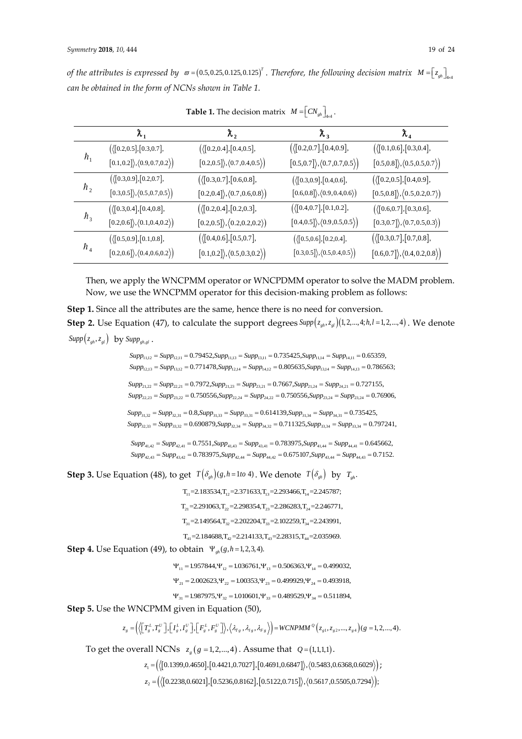of the attributes is expressed by  $\varpi = (0.5,0.25,0.125,0.125)^T$  . Therefore, the following decision matrix  $M = \left[ z_{_{gh}} \right]_{_{4 \times 4}}$ *can be obtained in the form of NCNs shown in Table 1.*

|                      | λ,                                                     | $\lambda,$                                             | $\lambda_{3}$                                                                  | $\lambda_{\scriptscriptstyle{A}}$                      |
|----------------------|--------------------------------------------------------|--------------------------------------------------------|--------------------------------------------------------------------------------|--------------------------------------------------------|
|                      | ((0.2, 0.5], [0.3, 0.7],                               | $(\langle [0.2, 0.4], [0.4, 0.5],$                     | $(\langle [0.2, 0.7], [0.4, 0.9],$                                             | $(\langle [0.1, 0.6], [0.3, 0.4],$                     |
| $\hbar_1$            | $[0.1, 0.2] \rangle$ , $\langle 0.9, 0.7, 0.2 \rangle$ | $[0.2, 0.5]\rangle, \langle 0.7, 0.4, 0.5 \rangle)$    | $[0.5, 0.7] \rangle$ , $\langle 0.7, 0.7, 0.5 \rangle$                         | $[0.5, 0.8]\rangle$ , $\langle 0.5, 0.5, 0.7 \rangle$  |
| $\hbar$ <sub>2</sub> | $(\langle [0.3, 0.9], [0.2, 0.7],$                     | $(\langle [0.3, 0.7], [0.6, 0.8],$                     | $(\langle [0.3, 0.9], [0.4, 0.6],$                                             | $(\langle [0.2, 0.5], [0.4, 0.9],$                     |
|                      | $[0.3, 0.5]\rangle, \langle 0.5, 0.7, 0.5 \rangle)$    | $[0.2, 0.4]\rangle, \langle 0.7, 0.6, 0.8\rangle$      | $\left[0.6, 0.8\right]\rangle, \left\langle 0.9, 0.4, 0.6\right\rangle\right)$ | $[0.5, 0.8]\rangle$ , $\langle 0.5, 0.2, 0.7 \rangle$  |
| $\hbar$ <sub>3</sub> | $(\langle [0.3, 0.4], [0.4, 0.8],$                     | ((0.2, 0.4], [0.2, 0.3],                               | $(\langle [0.4, 0.7], [0.1, 0.2],$                                             | $(\langle [0.6, 0.7], [0.3, 0.6],$                     |
|                      | $[0.2, 0.6]\rangle, \langle 0.1, 0.4, 0.2 \rangle)$    | $[0.2, 0.5]\rangle, \langle 0.2, 0.2, 0.2 \rangle)$    | $[0.4, 0.5]\rangle, \langle 0.9, 0.5, 0.5 \rangle)$                            | $[0.3, 0.7] \rangle$ , $\langle 0.7, 0.5, 0.3 \rangle$ |
| $\hbar$ <sub>4</sub> | $(\langle [0.5, 0.9], [0.1, 0.8],$                     | $(\langle [0.4, 0.6], [0.5, 0.7],$                     | $(\langle [0.5, 0.6], [0.2, 0.4],$                                             | ((0.3, 0.7], [0.7, 0.8],                               |
|                      | $[0.2, 0.6] \rangle$ , $\langle 0.4, 0.6, 0.2 \rangle$ | $[0.1, 0.2] \rangle$ , $\langle 0.5, 0.3, 0.2 \rangle$ | $[0.3, 0.5]\rangle, \langle 0.5, 0.4, 0.5 \rangle)$                            | $[0.6, 0.7] \rangle, \langle 0.4, 0.2, 0.8 \rangle$    |

**Table 1.** The decision matrix  $M = \left[ CN_{\mathit{gh}} \right]_{\mathit{4\times4}}$ .

Then, we apply the WNCPMM operator or WNCPDMM operator to solve the MADM problem. Now, we use the WNCPMM operator for this decision-making problem as follows:

**Step 1.** Since all the attributes are the same, hence there is no need for conversion. **Step 2.** Use Equation (47), to calculate the support degrees  $Supp(z_{gh}, z_{gl})(1, 2, ..., 4; h, l=1, 2, ..., 4)$ . We denote  $Supp(z_{gh}, z_{gl})$  by  $Supp_{gh,gl}$ .

> $Supp_{11,12} = Supp_{12,11} = 0.79452$ , $Supp_{11,13} = Supp_{13,11} = 0.735425$ , $Supp_{11,14} = Supp_{14,11} = 0.65359$ ,  $Supp_{12,13} = Supp_{13,12} = 0.771478$ ,  $Supp_{12,14} = Supp_{14,12} = 0.805635$ ,  $Supp_{13,14} = Supp_{14,13} = 0.786563$ ;  $Supp_{21,22} = Supp_{22,21} = 0.7972$ ,  $Supp_{21,23} = Supp_{23,21} = 0.7667$ ,  $Supp_{21,24} = Supp_{24,21} = 0.727155$ ,  $Supp_{22,23} = Supp_{23,22} = 0.750556$ ,  $Supp_{22,24} = Supp_{24,22} = 0.750556$ ,  $Supp_{23,24} = Supp_{23,24} = 0.76906$ ,<br>  $Supp_{31,32} = Supp_{32,31} = 0.8$ ,  $Supp_{31,33} = Supp_{33,31} = 0.614139$ ,  $Supp_{31,34} = Supp_{34,31} = 0.735425$ ,  $Supp_{31,32} = Supp_{32,31} = 0.8$ , $Supp_{31,33} = Supp_{33,31} = 0.614139$ , $Supp_{31,34} = Supp_{34,31} = 0.735425$ ,  $Supp_{31,32} = Supp_{32,31} = 0.8$ , $Supp_{31,33} = Supp_{33,31} = 0.614139$ , $Supp_{31,34} = Supp_{34,31} = 0.735425$ ,<br>  $Supp_{32,33} = Supp_{33,32} = 0.690879$ , $Supp_{32,34} = Supp_{34,32} = 0.711325$ , $Supp_{33,34} = Supp_{33,34} = 0.797241$ ,  $Supp_{41,42} = Supp_{42,41} = 0.7551$ , $Supp_{41,43} = Supp_{43,41} = 0.783975$ , $Supp_{41,44} = Supp_{44,41} = 0.645662$ ,

 $Supp_{42,43} = Supp_{43,42} = 0.783975$ , $Supp_{42,44} = Supp_{44,42} = 0.675107$ , $Supp_{43,44} = Supp_{44,43} = 0.7152$ .

**Step 3.** Use Equation (48), to get  $T(\delta_{\scriptscriptstyle gh})(g,h=1to~4)$  . We denote  $T(\delta_{\scriptscriptstyle gh})$  by  $T_{\scriptscriptstyle gh}$ .

 $T_{11}$  = 2.183534,  $T_{12}$  = 2.371633,  $T_{13}$  = 2.293466,  $T_{14}$  = 2.245787;  $T_{21}$  = 2.291063,  $T_{22}$  = 2.298354,  $T_{23}$  = 2.286283,  $T_{24}$  = 2.246771,  $T_{31}$  = 2.149564,  $T_{32}$  = 2.202204,  $T_{33}$  = 2.102259,  $T_{34}$  = 2.243991,  $T_{41}$  = 2.184688,  $T_{42}$  = 2.214133,  $T_{43}$  = 2.28315,  $T_{44}$  = 2.035969.

**Step 4.** Use Equation (49), to obtain  $\Psi_{gh}(g, h=1,2,3,4)$ .

 $\Psi_{11} = 1.957844, \Psi_{12} = 1.036761, \Psi_{13} = 0.506363, \Psi_{14} = 0.499032,$ 

$$
\Psi_{21} = 2.002623
$$
,  $\Psi_{22} = 1.00353$ ,  $\Psi_{23} = 0.499929$ ,  $\Psi_{24} = 0.493918$ ,  
\n $\Psi_{31} = 1.987975$ ,  $\Psi_{32} = 1.010601$ ,  $\Psi_{33} = 0.489529$ ,  $\Psi_{34} = 0.511894$ ,

**Step 5.** Use the WNCPMM given in Equation (50),

$$
z_{g} = \left( \left\langle \left[T_{g}^{L}, T_{g}^{U}\right], \left[I_{g}^{L}, I_{g}^{U}\right], \left[F_{g}^{L}, F_{g}^{U}\right], \left\langle \lambda_{T_{g}}, \lambda_{T_{g}}, \lambda_{T_{g}}\right\rangle \right) = WCNPMM^{Q}\left(z_{g1}, z_{g2}, \dots, z_{g4}\right)(g = 1, 2, \dots, 4).
$$

To get the overall NCNs  $z_g(g=1,2,...,4)$ . Assume that  $Q=(1,1,1,1)$ .

 $z_{\rm\scriptscriptstyle I} = \!\!\left( \left\langle \left[ 0.1399, 0.4650 \right] \!\!, \left[ 0.4421, 0.7027 \right] \!\!, \left[ 0.4691, 0.6847 \right] \!\right\rangle, \left\langle 0.5483, 0.6368, 0.6029 \right\rangle \right);$ 

 $z_{2} = \left( \left\langle \left[ 0.2238, 0.6021 \right], \left[ 0.5236, 0.8162 \right], \left[ 0.5122, 0.715 \right] \right\rangle, \left\langle 0.5617, 0.5505, 0.7294 \right\rangle \right);$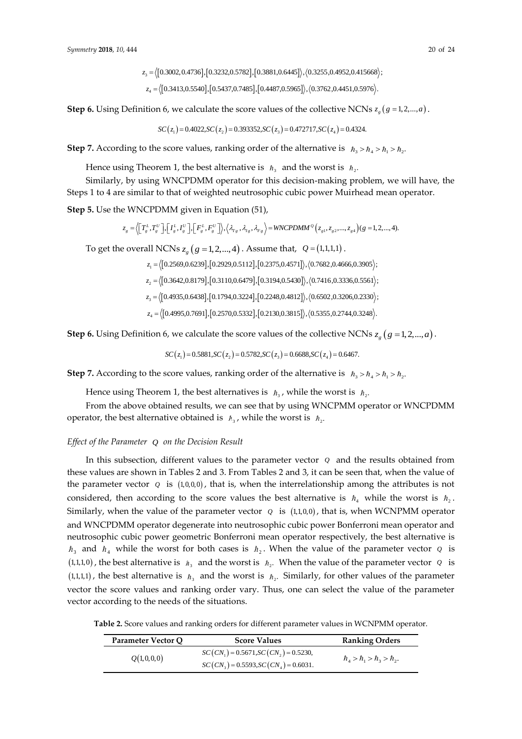*z*<sub>3</sub> =  $\langle$ [0.3002,0.4736],[0.3232,0.5782],[0.3881,0.6445]), $\langle$ 0.3255,0.4952,0.415668 $\rangle$ ; *z*<sub>4</sub> =  $\langle$  [0.3413,0.5540], [0.5437,0.7485], [0.4487,0.5965]},  $\langle$ 0.3762,0.4451,0.5976 $\rangle$ .

**Step 6.** Using Definition 6, we calculate the score values of the collective NCNs  $z_g$  ( $g$  = 1,2,..., $a$ ).

$$
SC(z_1) = 0.4022, SC(z_2) = 0.393352, SC(z_3) = 0.472717, SC(z_4) = 0.4324.
$$

**Step 7.** According to the score values, ranking order of the alternative is  $h_3 > h_4 > h_1 > h_2$ .

Hence using Theorem 1, the best alternative is  $\hbar_3$  and the worst is  $\hbar_2$ .

Similarly, by using WNCPDMM operator for this decision-making problem, we will have, the Steps 1 to 4 are similar to that of weighted neutrosophic cubic power Muirhead mean operator.

**Step 5.** Use the WNCPDMM given in Equation (51),

$$
z_{g} = \left\langle \left[T_g^L, T_g^U\right], \left[I_g^L, I_g^U\right], \left[F_g^L, F_g^U\right]\right\rangle, \left\langle \lambda_{Ts}, \lambda_{Ts}, \lambda_{Ts}\right\rangle = WNCPDMM^Q\left(z_{g1}, z_{g2}, \dots, z_{g4}\right)(g = 1, 2, \dots, 4).
$$

To get the overall NCNs  $z_g$   $(g = 1, 2, ..., 4)$ . Assume that,  $Q = (1, 1, 1, 1)$ .

*z*<sub>1</sub> =  $\langle$ [0.2569,0.6239],[0.2929,0.5112],[0.2375,0.4571]}, $\langle$ 0.7682,0.4666,0.3905 $\rangle$ ;

*z*<sub>2</sub> =  $\langle$ [0.3642,0.8179],[0.3110,0.6479],[0.3194,0.5430]}, $\langle$ 0.7416,0.3336,0.5561};

- *z*<sub>3</sub> =  $\langle$ [0.4935,0.6438],[0.1794,0.3224],[0.2248,0.4812]}, $\langle$ 0.6502,0.3206,0.2330 $\rangle$ ;
- *z*<sub>4</sub> =  $\langle$ [0.4995,0.7691],[0.2570,0.5332],[0.2130,0.3815]},  $\langle$ 0.5355,0.2744,0.3248 $\rangle$ .

**Step 6.** Using Definition 6, we calculate the score values of the collective NCNs  $z_g$   $(g = 1, 2, ..., a)$ .

 $SC(z_1) = 0.5881$ ,  $SC(z_2) = 0.5782$ ,  $SC(z_3) = 0.6688$ ,  $SC(z_4) = 0.6467$ .

**Step 7.** According to the score values, ranking order of the alternative is  $h_3 > h_4 > h_1 > h_2$ .

Hence using Theorem 1, the best alternatives is  $\hbar$ <sub>3</sub>, while the worst is  $\hbar$ <sub>2</sub>.

From the above obtained results, we can see that by using WNCPMM operator or WNCPDMM operator, the best alternative obtained is  $h_3$ , while the worst is  $h_2$ .

## *Effect of the Parameter Q on the Decision Result*

In this subsection, different values to the parameter vector  $\varrho$  and the results obtained from these values are shown in Tables 2 and 3. From Tables 2 and 3, it can be seen that, when the value of the parameter vector  $q$  is  $(1,0,0,0)$ , that is, when the interrelationship among the attributes is not considered, then according to the score values the best alternative is  $\hbar_4$  while the worst is  $\hbar_2$ . Similarly, when the value of the parameter vector  $\varrho$  is (1,1,0,0), that is, when WCNPMM operator and WNCPDMM operator degenerate into neutrosophic cubic power Bonferroni mean operator and neutrosophic cubic power geometric Bonferroni mean operator respectively, the best alternative is <sub>3</sub> and  $\hbar_4$  while the worst for both cases is  $\hbar_2$ . When the value of the parameter vector  $\varrho$  is (1,1,1,0), the best alternative is  $h_3$  and the worst is  $h_2$ . When the value of the parameter vector  $Q$  is  $(1,1,1,1)$ , the best alternative is  $h_3$  and the worst is  $h_2$ . Similarly, for other values of the parameter vector the score values and ranking order vary. Thus, one can select the value of the parameter vector according to the needs of the situations.

**Table 2.** Score values and ranking orders for different parameter values in WCNPMM operator.

| Parameter Vector Q | <b>Score Values</b>                     | <b>Ranking Orders</b>                     |
|--------------------|-----------------------------------------|-------------------------------------------|
| Q(1,0,0,0)         | $SC(CN_1) = 0.5671, SC(CN_2) = 0.5230,$ | $\hbar_4 > \hbar_1 > \hbar_3 > \hbar_2$ . |
|                    | $SC(CN_3) = 0.5593, SC(CN_4) = 0.6031.$ |                                           |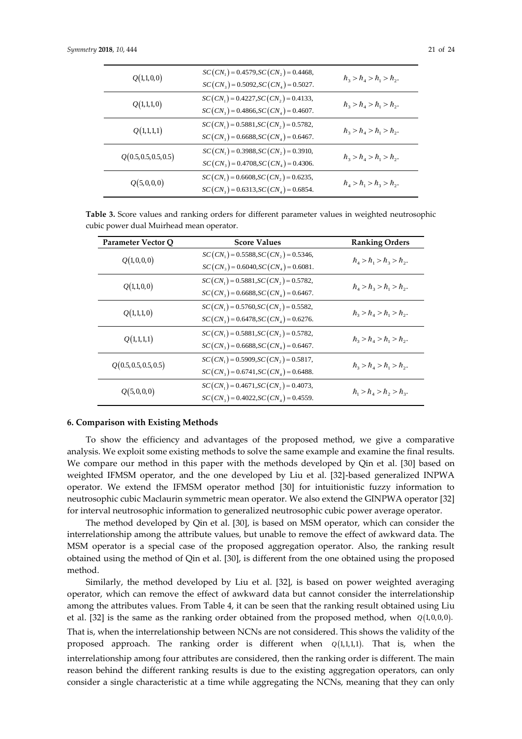| Q(1,1,0,0)            | $SC(CN_1) = 0.4579, SC(CN_2) = 0.4468,$<br>$SC(CN_3) = 0.5092, SC(CN_4) = 0.5027.$     | $\hbar_3 > \hbar_4 > \hbar_1 > \hbar_2$ . |
|-----------------------|----------------------------------------------------------------------------------------|-------------------------------------------|
| Q(1,1,1,0)            | $SC(CN_1) = 0.4227, SC(CN_2) = 0.4133,$<br>$SC(CN_3) = 0.4866, SC(CN_4) = 0.4607.$     | $\hbar_3 > \hbar_4 > \hbar_1 > \hbar_2$ . |
| Q(1,1,1,1)            | $SC(CN_1) = 0.5881, SC(CN_2) = 0.5782,$<br>$SC(CN_3) = 0.6688$ , $SC(CN_4) = 0.6467$ . | $\hbar_3 > \hbar_4 > \hbar_1 > \hbar_2$ . |
| Q(0.5, 0.5, 0.5, 0.5) | $SC(CN_1) = 0.3988, SC(CN_2) = 0.3910,$<br>$SC(CN_3) = 0.4708, SC(CN_4) = 0.4306.$     | $\hbar_3 > \hbar_4 > \hbar_1 > \hbar_2$ . |
| Q(5,0,0,0)            | $SC(CN_1) = 0.6608, SC(CN_2) = 0.6235,$<br>$SC(CN_3) = 0.6313, SC(CN_4) = 0.6854.$     | $\hbar_1 > \hbar_1 > \hbar_2 > \hbar_2$ . |

**Table 3.** Score values and ranking orders for different parameter values in weighted neutrosophic cubic power dual Muirhead mean operator.

| Parameter Vector Q    | <b>Score Values</b>                         | <b>Ranking Orders</b>                     |  |
|-----------------------|---------------------------------------------|-------------------------------------------|--|
| Q(1,0,0,0)            | $SC(CN_1) = 0.5588$ , $SC(CN_2) = 0.5346$ , |                                           |  |
|                       | $SC(CN_3) = 0.6040, SC(CN_4) = 0.6081.$     | $\hbar_1 > \hbar_1 > \hbar_2 > \hbar_2$ . |  |
| Q(1,1,0,0)            | $SC(CN_1) = 0.5881, SC(CN_2) = 0.5782,$     | $\hbar_1 > \hbar_2 > \hbar_1 > \hbar_2$ . |  |
|                       | $SC(CN_3) = 0.6688$ , $SC(CN_4) = 0.6467$ . |                                           |  |
| Q(1,1,1,0)            | $SC(CN_1) = 0.5760, SC(CN_2) = 0.5582,$     | $\hbar_3 > \hbar_4 > \hbar_1 > \hbar_2$ . |  |
|                       | $SC(CN_3) = 0.6478$ , $SC(CN_4) = 0.6276$ . |                                           |  |
|                       | $SC(CN_1) = 0.5881, SC(CN_2) = 0.5782,$     | $\hbar_3 > \hbar_4 > \hbar_1 > \hbar_2$ . |  |
| Q(1,1,1,1)            | $SC(CN_2) = 0.6688$ , $SC(CN_4) = 0.6467$ . |                                           |  |
|                       | $SC(CN_1) = 0.5909, SC(CN_2) = 0.5817,$     |                                           |  |
| Q(0.5, 0.5, 0.5, 0.5) | $SC(CN_2) = 0.6741, SC(CN_4) = 0.6488.$     | $\hbar_3 > \hbar_4 > \hbar_1 > \hbar_2$ . |  |
|                       | $SC(CN_1) = 0.4671, SC(CN_2) = 0.4073,$     |                                           |  |
| Q(5,0,0,0)            | $SC(CN_2) = 0.4022, SC(CN_4) = 0.4559.$     | $\hbar_1 > \hbar_4 > \hbar_2 > \hbar_3$ . |  |

#### **6. Comparison with Existing Methods**

To show the efficiency and advantages of the proposed method, we give a comparative analysis. We exploit some existing methods to solve the same example and examine the final results. We compare our method in this paper with the methods developed by Qin et al. [30] based on weighted IFMSM operator, and the one developed by Liu et al. [32]-based generalized INPWA operator. We extend the IFMSM operator method [30] for intuitionistic fuzzy information to neutrosophic cubic Maclaurin symmetric mean operator. We also extend the GINPWA operator [32] for interval neutrosophic information to generalized neutrosophic cubic power average operator.

The method developed by Qin et al. [30], is based on MSM operator, which can consider the interrelationship among the attribute values, but unable to remove the effect of awkward data. The MSM operator is a special case of the proposed aggregation operator. Also, the ranking result obtained using the method of Qin et al. [30], is different from the one obtained using the proposed method.

Similarly, the method developed by Liu et al. [32], is based on power weighted averaging operator, which can remove the effect of awkward data but cannot consider the interrelationship among the attributes values. From Table 4, it can be seen that the ranking result obtained using Liu et al. [32] is the same as the ranking order obtained from the proposed method, when  $Q(1,0,0,0)$ . That is, when the interrelationship between NCNs are not considered. This shows the validity of the proposed approach. The ranking order is different when  $Q(1,1,1,1)$ . That is, when the interrelationship among four attributes are considered, then the ranking order is different. The main reason behind the different ranking results is due to the existing aggregation operators, can only consider a single characteristic at a time while aggregating the NCNs, meaning that they can only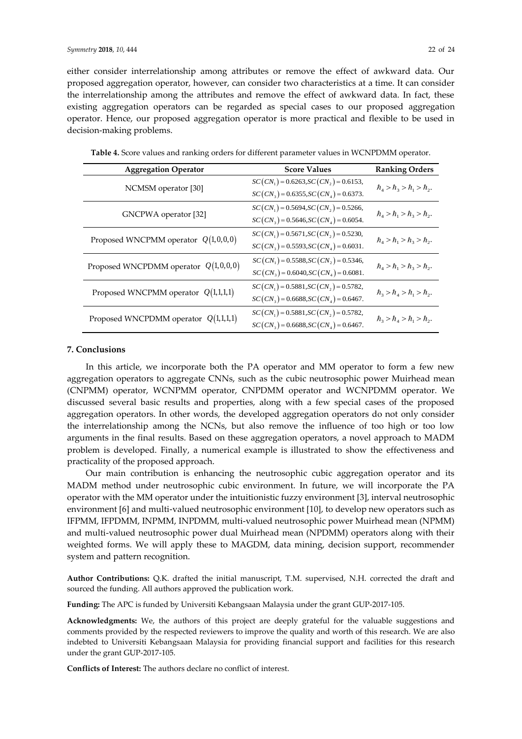either consider interrelationship among attributes or remove the effect of awkward data. Our proposed aggregation operator, however, can consider two characteristics at a time. It can consider the interrelationship among the attributes and remove the effect of awkward data. In fact, these existing aggregation operators can be regarded as special cases to our proposed aggregation operator. Hence, our proposed aggregation operator is more practical and flexible to be used in decision-making problems.

| <b>Aggregation Operator</b>            | <b>Score Values</b>                         | <b>Ranking Orders</b>                     |  |
|----------------------------------------|---------------------------------------------|-------------------------------------------|--|
|                                        | $SC(CN_1) = 0.6263, SC(CN_2) = 0.6153,$     |                                           |  |
| NCMSM operator [30]                    | $SC(CN_3) = 0.6355, SC(CN_4) = 0.6373.$     | $\hbar_4 > \hbar_3 > \hbar_1 > \hbar_2$ . |  |
|                                        | $SC(CN_1) = 0.5694, SC(CN_2) = 0.5266,$     | $\hbar_4 > \hbar_1 > \hbar_3 > \hbar_2$ . |  |
| GNCPWA operator [32]                   | $SC(CN_3) = 0.5646, SC(CN_4) = 0.6054.$     |                                           |  |
|                                        | $SC(CN_1) = 0.5671, SC(CN_2) = 0.5230,$     | $\hbar_4 > \hbar_1 > \hbar_3 > \hbar_2$ . |  |
| Proposed WNCPMM operator $Q(1,0,0,0)$  | $SC(CN_3) = 0.5593, SC(CN_4) = 0.6031.$     |                                           |  |
| Proposed WNCPDMM operator $Q(1,0,0,0)$ | $SC(CN_1) = 0.5588, SC(CN_2) = 0.5346,$     | $\hbar_1 > \hbar_1 > \hbar_2 > \hbar_2$ . |  |
|                                        | $SC(CN_3) = 0.6040, SC(CN_4) = 0.6081.$     |                                           |  |
|                                        | $SC(CN_1) = 0.5881, SC(CN_2) = 0.5782,$     |                                           |  |
| Proposed WNCPMM operator $Q(1,1,1,1)$  | $SC(CN_3) = 0.6688$ , $SC(CN_4) = 0.6467$ . | $\hbar_3 > \hbar_4 > \hbar_1 > \hbar_2$ . |  |
| Proposed WNCPDMM operator $Q(1,1,1,1)$ | $SC(CN_1) = 0.5881, SC(CN_2) = 0.5782,$     | $\hbar_1 > \hbar_4 > \hbar_1 > \hbar_2$ . |  |
|                                        | $SC(CN_2) = 0.6688$ , $SC(CN_4) = 0.6467$ . |                                           |  |

**Table 4.** Score values and ranking orders for different parameter values in WCNPDMM operator.

## **7. Conclusions**

In this article, we incorporate both the PA operator and MM operator to form a few new aggregation operators to aggregate CNNs, such as the cubic neutrosophic power Muirhead mean (CNPMM) operator, WCNPMM operator, CNPDMM operator and WCNPDMM operator. We discussed several basic results and properties, along with a few special cases of the proposed aggregation operators. In other words, the developed aggregation operators do not only consider the interrelationship among the NCNs, but also remove the influence of too high or too low arguments in the final results. Based on these aggregation operators, a novel approach to MADM problem is developed. Finally, a numerical example is illustrated to show the effectiveness and practicality of the proposed approach.

Our main contribution is enhancing the neutrosophic cubic aggregation operator and its MADM method under neutrosophic cubic environment. In future, we will incorporate the PA operator with the MM operator under the intuitionistic fuzzy environment [3], interval neutrosophic environment [6] and multi-valued neutrosophic environment [10], to develop new operators such as IFPMM, IFPDMM, INPMM, INPDMM, multi-valued neutrosophic power Muirhead mean (NPMM) and multi-valued neutrosophic power dual Muirhead mean (NPDMM) operators along with their weighted forms. We will apply these to MAGDM, data mining, decision support, recommender system and pattern recognition.

**Author Contributions:** Q.K. drafted the initial manuscript, T.M. supervised, N.H. corrected the draft and sourced the funding. All authors approved the publication work.

**Funding:** The APC is funded by Universiti Kebangsaan Malaysia under the grant GUP-2017-105.

**Acknowledgments:** We, the authors of this project are deeply grateful for the valuable suggestions and comments provided by the respected reviewers to improve the quality and worth of this research. We are also indebted to Universiti Kebangsaan Malaysia for providing financial support and facilities for this research under the grant GUP-2017-105.

**Conflicts of Interest:** The authors declare no conflict of interest.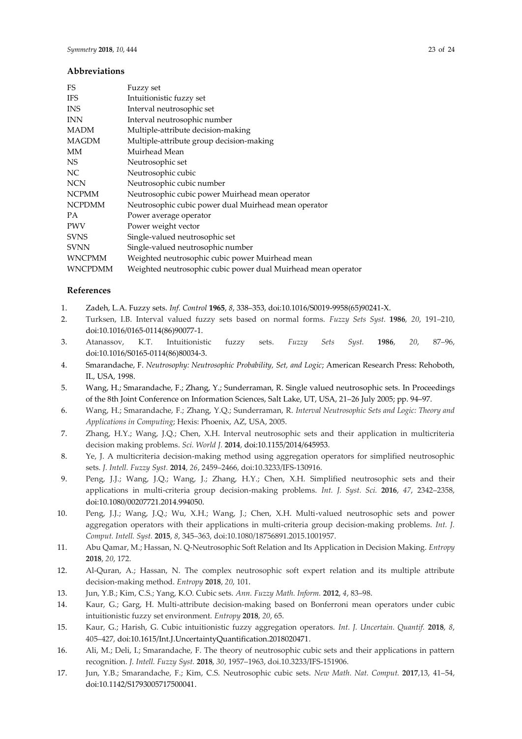## **Abbreviations**

| <b>FS</b>      | Fuzzy set                                                     |
|----------------|---------------------------------------------------------------|
| <b>IFS</b>     | Intuitionistic fuzzy set                                      |
| <b>INS</b>     | Interval neutrosophic set                                     |
| INN            | Interval neutrosophic number                                  |
| <b>MADM</b>    | Multiple-attribute decision-making                            |
| MAGDM          | Multiple-attribute group decision-making                      |
| MМ             | Muirhead Mean                                                 |
| NS.            | Neutrosophic set                                              |
| NC             | Neutrosophic cubic                                            |
| <b>NCN</b>     | Neutrosophic cubic number                                     |
| <b>NCPMM</b>   | Neutrosophic cubic power Muirhead mean operator               |
| <b>NCPDMM</b>  | Neutrosophic cubic power dual Muirhead mean operator          |
| PA.            | Power average operator                                        |
| PWV            | Power weight vector                                           |
| SVNS           | Single-valued neutrosophic set                                |
| <b>SVNN</b>    | Single-valued neutrosophic number                             |
| <b>WNCPMM</b>  | Weighted neutrosophic cubic power Muirhead mean               |
| <b>WNCPDMM</b> | Weighted neutrosophic cubic power dual Muirhead mean operator |

## **References**

- 1. Zadeh, L.A. Fuzzy sets. *Inf. Control* **1965**, *8*, 338–353, doi:10.1016/S0019-9958(65)90241-X.
- 2. Turksen, I.B. Interval valued fuzzy sets based on normal forms. *Fuzzy Sets Syst.* **1986**, *20*, 191–210, [doi:10.1016/0165-0114\(86\)90077-1.](https://doi.org/10.1016/0165-0114(86)90077-1)
- 3. Atanassov, K.T. Intuitionistic fuzzy sets. *Fuzzy Sets Syst.* **1986**, *20*, 87–96, doi:10.1016/S0165-0114(86)80034-3.
- 4. Smarandache, F. *Neutrosophy: Neutrosophic Probability, Set, and Logic*; American Research Press: Rehoboth, IL, USA, 1998.
- 5. Wang, H.; Smarandache, F.; Zhang, Y.; Sunderraman, R. Single valued neutrosophic sets. In Proceedings of the 8th Joint Conference on Information Sciences, Salt Lake, UT, USA, 21–26 July 2005; pp. 94–97.
- 6. Wang, H.; Smarandache, F.; Zhang, Y.Q.; Sunderraman, R. *Interval Neutrosophic Sets and Logic: Theory and Applications in Computing*; Hexis: Phoenix, AZ, USA, 2005.
- 7. Zhang, H.Y.; Wang, J.Q.; Chen, X.H. Interval neutrosophic sets and their application in multicriteria decision making problems. *Sci. World J.* **2014**[, doi:10.1155/2014/645953.](http://dx.doi.org/10.1155/2014/645953)
- 8. Ye, J. A multicriteria decision-making method using aggregation operators for simplified neutrosophic sets. *J. Intell. Fuzzy Syst.* **2014**, *26*, 2459–2466, doi:10.3233/IFS-130916.
- 9. Peng, J.J.; Wang, J.Q.; Wang, J.; Zhang, H.Y.; Chen, X.H. Simplified neutrosophic sets and their applications in multi-criteria group decision-making problems. *Int. J. Syst. Sci.* **2016**, *47*, 2342–2358, [doi:10.1080/00207721.2014.994050.](https://doi.org/10.1080/00207721.2014.994050)
- 10. Peng, J.J.; Wang, J.Q.; Wu, X.H.; Wang, J.; Chen, X.H. Multi-valued neutrosophic sets and power aggregation operators with their applications in multi-criteria group decision-making problems. *Int. J. Comput. Intell. Syst.* **2015**, *8*, 345–363, doi:10.1080/18756891.2015.1001957.
- 11. Abu Qamar, M.; Hassan, N. Q-Neutrosophic Soft Relation and Its Application in Decision Making. *Entropy* **2018**, *20*, 172.
- 12. Al-Quran, A.; Hassan, N. The complex neutrosophic soft expert relation and its multiple attribute decision-making method. *Entropy* **2018**, *20*, 101.
- 13. Jun, Y.B.; Kim, C.S.; Yang, K.O. Cubic sets. *Ann. Fuzzy Math. Inform.* **2012**, *4*, 83–98.
- 14. Kaur, G.; Garg, H. Multi-attribute decision-making based on Bonferroni mean operators under cubic intuitionistic fuzzy set environment. *Entropy* **2018**, *20*, 65.
- 15. Kaur, G.; Harish, G. Cubic intuitionistic fuzzy aggregation operators. *Int. J. Uncertain. Quantif.* **2018**, *8*, 405–427, doi:10.1615/Int.J.UncertaintyQuantification.2018020471.
- 16. Ali, M.; Deli, I.; Smarandache, F. The theory of neutrosophic cubic sets and their applications in pattern recognition. *J. Intell. Fuzzy Syst.* **2018**, *30*, 1957–1963, doi.10.3233/IFS-151906.
- 17. Jun, Y.B.; Smarandache, F.; Kim, C.S. Neutrosophic cubic sets. *New Math. Nat. Comput.* **2017**,13, 41–54, [doi:10.1142/S1793005717500041.](https://doi.org/10.1142/S1793005717500041)